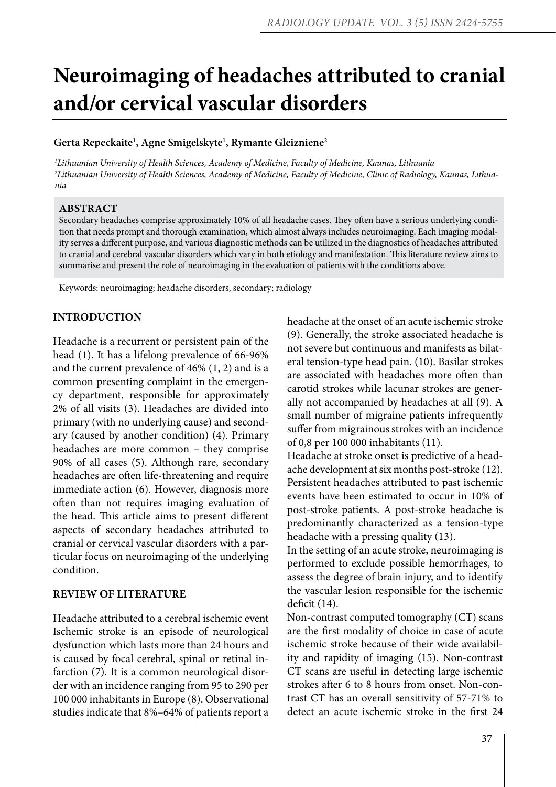# **Neuroimaging of headaches attributed to cranial and/or cervical vascular disorders**

## **Gerta Repeckaite1 , Agne Smigelskyte1 , Rymante Gleizniene2**

*1 Lithuanian University of Health Sciences, Academy of Medicine, Faculty of Medicine, Kaunas, Lithuania 2 Lithuanian University of Health Sciences, Academy of Medicine, Faculty of Medicine, Clinic of Radiology, Kaunas, Lithuania*

#### **ABSTRACT**

Secondary headaches comprise approximately 10% of all headache cases. They often have a serious underlying condition that needs prompt and thorough examination, which almost always includes neuroimaging. Each imaging modality serves a different purpose, and various diagnostic methods can be utilized in the diagnostics of headaches attributed to cranial and cerebral vascular disorders which vary in both etiology and manifestation. This literature review aims to summarise and present the role of neuroimaging in the evaluation of patients with the conditions above.

Keywords: neuroimaging; headache disorders, secondary; radiology

#### **INTRODUCTION**

Headache is a recurrent or persistent pain of the head (1). It has a lifelong prevalence of 66-96% and the current prevalence of 46% (1, 2) and is a common presenting complaint in the emergency department, responsible for approximately 2% of all visits (3). Headaches are divided into primary (with no underlying cause) and secondary (caused by another condition) (4). Primary headaches are more common – they comprise 90% of all cases (5). Although rare, secondary headaches are often life-threatening and require immediate action (6). However, diagnosis more often than not requires imaging evaluation of the head. This article aims to present different aspects of secondary headaches attributed to cranial or cervical vascular disorders with a particular focus on neuroimaging of the underlying condition.

#### **REVIEW OF LITERATURE**

Headache attributed to a cerebral ischemic event Ischemic stroke is an episode of neurological dysfunction which lasts more than 24 hours and is caused by focal cerebral, spinal or retinal infarction (7). It is a common neurological disorder with an incidence ranging from 95 to 290 per 100 000 inhabitants in Europe (8). Observational studies indicate that 8%–64% of patients report a headache at the onset of an acute ischemic stroke (9). Generally, the stroke associated headache is not severe but continuous and manifests as bilateral tension-type head pain. (10). Basilar strokes are associated with headaches more often than carotid strokes while lacunar strokes are generally not accompanied by headaches at all (9). A small number of migraine patients infrequently suffer from migrainous strokes with an incidence of 0,8 per 100 000 inhabitants (11).

Headache at stroke onset is predictive of a headache development at six months post-stroke (12). Persistent headaches attributed to past ischemic events have been estimated to occur in 10% of post-stroke patients. A post-stroke headache is predominantly characterized as a tension-type headache with a pressing quality (13).

In the setting of an acute stroke, neuroimaging is performed to exclude possible hemorrhages, to assess the degree of brain injury, and to identify the vascular lesion responsible for the ischemic deficit (14).

Non-contrast computed tomography (CT) scans are the first modality of choice in case of acute ischemic stroke because of their wide availability and rapidity of imaging (15). Non-contrast CT scans are useful in detecting large ischemic strokes after 6 to 8 hours from onset. Non-contrast CT has an overall sensitivity of 57-71% to detect an acute ischemic stroke in the first 24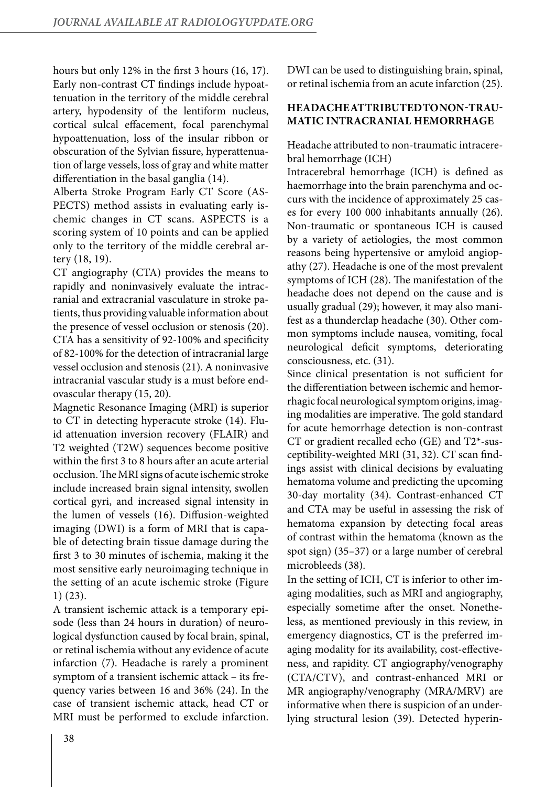hours but only 12% in the first 3 hours (16, 17). Early non-contrast CT findings include hypoattenuation in the territory of the middle cerebral artery, hypodensity of the lentiform nucleus, cortical sulcal effacement, focal parenchymal hypoattenuation, loss of the insular ribbon or obscuration of the Sylvian fissure, hyperattenuation of large vessels, loss of gray and white matter differentiation in the basal ganglia (14).

Alberta Stroke Program Early CT Score (AS-PECTS) method assists in evaluating early ischemic changes in CT scans. ASPECTS is a scoring system of 10 points and can be applied only to the territory of the middle cerebral artery (18, 19).

CT angiography (CTA) provides the means to rapidly and noninvasively evaluate the intracranial and extracranial vasculature in stroke patients, thus providing valuable information about the presence of vessel occlusion or stenosis (20). CTA has a sensitivity of 92-100% and specificity of 82-100% for the detection of intracranial large vessel occlusion and stenosis (21). A noninvasive intracranial vascular study is a must before endovascular therapy (15, 20).

Magnetic Resonance Imaging (MRI) is superior to CT in detecting hyperacute stroke (14). Fluid attenuation inversion recovery (FLAIR) and T2 weighted (T2W) sequences become positive within the first 3 to 8 hours after an acute arterial occlusion. The MRI signs of acute ischemic stroke include increased brain signal intensity, swollen cortical gyri, and increased signal intensity in the lumen of vessels (16). Diffusion-weighted imaging (DWI) is a form of MRI that is capable of detecting brain tissue damage during the first 3 to 30 minutes of ischemia, making it the most sensitive early neuroimaging technique in the setting of an acute ischemic stroke (Figure 1) (23).

A transient ischemic attack is a temporary episode (less than 24 hours in duration) of neurological dysfunction caused by focal brain, spinal, or retinal ischemia without any evidence of acute infarction (7). Headache is rarely a prominent symptom of a transient ischemic attack – its frequency varies between 16 and 36% (24). In the case of transient ischemic attack, head CT or MRI must be performed to exclude infarction. DWI can be used to distinguishing brain, spinal, or retinal ischemia from an acute infarction (25).

# **HEADACHE ATTRIBUTED TO NON-TRAU-MATIC INTRACRANIAL HEMORRHAGE**

Headache attributed to non-traumatic intracerebral hemorrhage (ICH)

Intracerebral hemorrhage (ICH) is defined as haemorrhage into the brain parenchyma and occurs with the incidence of approximately 25 cases for every 100 000 inhabitants annually (26). Non-traumatic or spontaneous ICH is caused by a variety of aetiologies, the most common reasons being hypertensive or amyloid angiopathy (27). Headache is one of the most prevalent symptoms of ICH (28). The manifestation of the headache does not depend on the cause and is usually gradual (29); however, it may also manifest as a thunderclap headache (30). Other common symptoms include nausea, vomiting, focal neurological deficit symptoms, deteriorating consciousness, etc. (31).

Since clinical presentation is not sufficient for the differentiation between ischemic and hemorrhagic focal neurological symptom origins, imaging modalities are imperative. The gold standard for acute hemorrhage detection is non-contrast CT or gradient recalled echo (GE) and T2\*-susceptibility-weighted MRI (31, 32). CT scan findings assist with clinical decisions by evaluating hematoma volume and predicting the upcoming 30-day mortality (34). Contrast-enhanced CT and CTA may be useful in assessing the risk of hematoma expansion by detecting focal areas of contrast within the hematoma (known as the spot sign) (35–37) or a large number of cerebral microbleeds (38).

In the setting of ICH, CT is inferior to other imaging modalities, such as MRI and angiography, especially sometime after the onset. Nonetheless, as mentioned previously in this review, in emergency diagnostics, CT is the preferred imaging modality for its availability, cost-effectiveness, and rapidity. CT angiography/venography (CTA/CTV), and contrast-enhanced MRI or MR angiography/venography (MRA/MRV) are informative when there is suspicion of an underlying structural lesion (39). Detected hyperin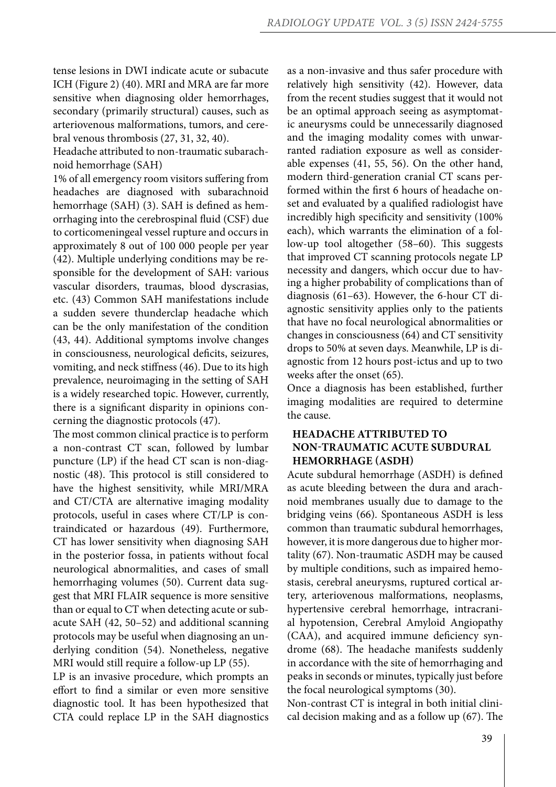tense lesions in DWI indicate acute or subacute ICH (Figure 2) (40). MRI and MRA are far more sensitive when diagnosing older hemorrhages, secondary (primarily structural) causes, such as arteriovenous malformations, tumors, and cerebral venous thrombosis (27, 31, 32, 40).

Headache attributed to non-traumatic subarachnoid hemorrhage (SAH)

1% of all emergency room visitors suffering from headaches are diagnosed with subarachnoid hemorrhage (SAH) (3). SAH is defined as hemorrhaging into the cerebrospinal fluid (CSF) due to corticomeningeal vessel rupture and occurs in approximately 8 out of 100 000 people per year (42). Multiple underlying conditions may be responsible for the development of SAH: various vascular disorders, traumas, blood dyscrasias, etc. (43) Common SAH manifestations include a sudden severe thunderclap headache which can be the only manifestation of the condition (43, 44). Additional symptoms involve changes in consciousness, neurological deficits, seizures, vomiting, and neck stiffness (46). Due to its high prevalence, neuroimaging in the setting of SAH is a widely researched topic. However, currently, there is a significant disparity in opinions concerning the diagnostic protocols (47).

The most common clinical practice is to perform a non-contrast CT scan, followed by lumbar puncture (LP) if the head CT scan is non-diagnostic (48). This protocol is still considered to have the highest sensitivity, while MRI/MRA and CT/CTA are alternative imaging modality protocols, useful in cases where CT/LP is contraindicated or hazardous (49). Furthermore, CT has lower sensitivity when diagnosing SAH in the posterior fossa, in patients without focal neurological abnormalities, and cases of small hemorrhaging volumes (50). Current data suggest that MRI FLAIR sequence is more sensitive than or equal to CT when detecting acute or subacute SAH (42, 50–52) and additional scanning protocols may be useful when diagnosing an underlying condition (54). Nonetheless, negative MRI would still require a follow-up LP (55).

LP is an invasive procedure, which prompts an effort to find a similar or even more sensitive diagnostic tool. It has been hypothesized that CTA could replace LP in the SAH diagnostics as a non-invasive and thus safer procedure with relatively high sensitivity (42). However, data from the recent studies suggest that it would not be an optimal approach seeing as asymptomatic aneurysms could be unnecessarily diagnosed and the imaging modality comes with unwarranted radiation exposure as well as considerable expenses (41, 55, 56). On the other hand, modern third-generation cranial CT scans performed within the first 6 hours of headache onset and evaluated by a qualified radiologist have incredibly high specificity and sensitivity (100% each), which warrants the elimination of a follow-up tool altogether (58–60). This suggests that improved CT scanning protocols negate LP necessity and dangers, which occur due to having a higher probability of complications than of diagnosis (61–63). However, the 6-hour CT diagnostic sensitivity applies only to the patients that have no focal neurological abnormalities or changes in consciousness (64) and CT sensitivity drops to 50% at seven days. Meanwhile, LP is diagnostic from 12 hours post-ictus and up to two weeks after the onset (65).

Once a diagnosis has been established, further imaging modalities are required to determine the cause.

# **HEADACHE ATTRIBUTED TO NON-TRAUMATIC ACUTE SUBDURAL HEMORRHAGE (ASDH)**

Acute subdural hemorrhage (ASDH) is defined as acute bleeding between the dura and arachnoid membranes usually due to damage to the bridging veins (66). Spontaneous ASDH is less common than traumatic subdural hemorrhages, however, it is more dangerous due to higher mortality (67). Non-traumatic ASDH may be caused by multiple conditions, such as impaired hemostasis, cerebral aneurysms, ruptured cortical artery, arteriovenous malformations, neoplasms, hypertensive cerebral hemorrhage, intracranial hypotension, Cerebral Amyloid Angiopathy (CAA), and acquired immune deficiency syndrome (68). The headache manifests suddenly in accordance with the site of hemorrhaging and peaks in seconds or minutes, typically just before the focal neurological symptoms (30).

Non-contrast CT is integral in both initial clinical decision making and as a follow up (67). The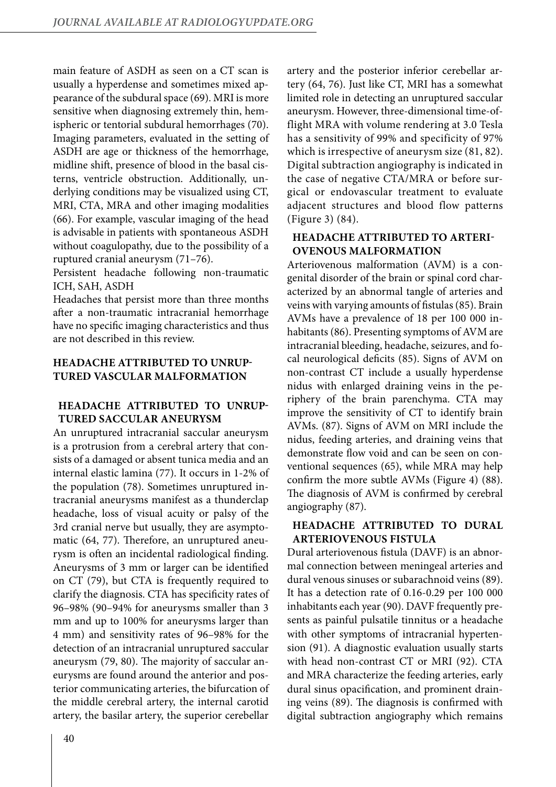main feature of ASDH as seen on a CT scan is usually a hyperdense and sometimes mixed appearance of the subdural space (69). MRI is more sensitive when diagnosing extremely thin, hemispheric or tentorial subdural hemorrhages (70). Imaging parameters, evaluated in the setting of ASDH are age or thickness of the hemorrhage, midline shift, presence of blood in the basal cisterns, ventricle obstruction. Additionally, underlying conditions may be visualized using CT, MRI, CTA, MRA and other imaging modalities (66). For example, vascular imaging of the head is advisable in patients with spontaneous ASDH without coagulopathy, due to the possibility of a ruptured cranial aneurysm (71–76).

Persistent headache following non-traumatic ICH, SAH, ASDH

Headaches that persist more than three months after a non-traumatic intracranial hemorrhage have no specific imaging characteristics and thus are not described in this review.

## **HEADACHE ATTRIBUTED TO UNRUP-TURED VASCULAR MALFORMATION**

## **HEADACHE ATTRIBUTED TO UNRUP-TURED SACCULAR ANEURYSM**

An unruptured intracranial saccular aneurysm is a protrusion from a cerebral artery that consists of a damaged or absent tunica media and an internal elastic lamina (77). It occurs in 1-2% of the population (78). Sometimes unruptured intracranial aneurysms manifest as a thunderclap headache, loss of visual acuity or palsy of the 3rd cranial nerve but usually, they are asymptomatic (64, 77). Therefore, an unruptured aneurysm is often an incidental radiological finding. Aneurysms of 3 mm or larger can be identified on CT (79), but CTA is frequently required to clarify the diagnosis. CTA has specificity rates of 96–98% (90–94% for aneurysms smaller than 3 mm and up to 100% for aneurysms larger than 4 mm) and sensitivity rates of 96–98% for the detection of an intracranial unruptured saccular aneurysm (79, 80). The majority of saccular aneurysms are found around the anterior and posterior communicating arteries, the bifurcation of the middle cerebral artery, the internal carotid artery, the basilar artery, the superior cerebellar

artery and the posterior inferior cerebellar artery (64, 76). Just like CT, MRI has a somewhat limited role in detecting an unruptured saccular aneurysm. However, three-dimensional time-offlight MRA with volume rendering at 3.0 Tesla has a sensitivity of 99% and specificity of 97% which is irrespective of aneurysm size (81, 82). Digital subtraction angiography is indicated in the case of negative CTA/MRA or before surgical or endovascular treatment to evaluate adjacent structures and blood flow patterns (Figure 3) (84).

## **HEADACHE ATTRIBUTED TO ARTERI-OVENOUS MALFORMATION**

Arteriovenous malformation (AVM) is a congenital disorder of the brain or spinal cord characterized by an abnormal tangle of arteries and veins with varying amounts of fistulas (85). Brain AVMs have a prevalence of 18 per 100 000 inhabitants (86). Presenting symptoms of AVM are intracranial bleeding, headache, seizures, and focal neurological deficits (85). Signs of AVM on non-contrast CT include a usually hyperdense nidus with enlarged draining veins in the periphery of the brain parenchyma. CTA may improve the sensitivity of CT to identify brain AVMs. (87). Signs of AVM on MRI include the nidus, feeding arteries, and draining veins that demonstrate flow void and can be seen on conventional sequences (65), while MRA may help confirm the more subtle AVMs (Figure 4) (88). The diagnosis of AVM is confirmed by cerebral angiography (87).

## **HEADACHE ATTRIBUTED TO DURAL ARTERIOVENOUS FISTULA**

Dural arteriovenous fistula (DAVF) is an abnormal connection between meningeal arteries and dural venous sinuses or subarachnoid veins (89). It has a detection rate of 0.16-0.29 per 100 000 inhabitants each year (90). DAVF frequently presents as painful pulsatile tinnitus or a headache with other symptoms of intracranial hypertension (91). A diagnostic evaluation usually starts with head non-contrast CT or MRI (92). CTA and MRA characterize the feeding arteries, early dural sinus opacification, and prominent draining veins (89). The diagnosis is confirmed with digital subtraction angiography which remains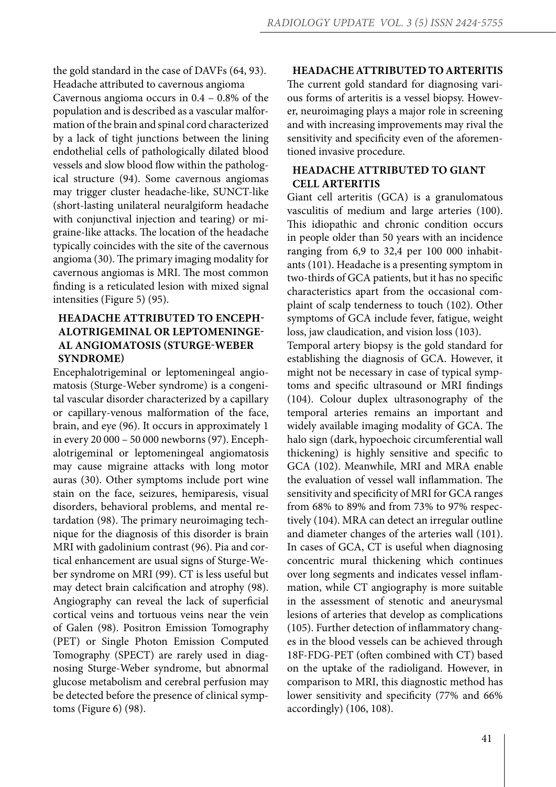the gold standard in the case of DAVFs (64, 93). Headache attributed to cavernous angioma Cavernous angioma occurs in 0.4 – 0.8% of the population and is described as a vascular malformation of the brain and spinal cord characterized by a lack of tight junctions between the lining endothelial cells of pathologically dilated blood vessels and slow blood flow within the pathological structure (94). Some cavernous angiomas may trigger cluster headache-like, SUNCT-like (short-lasting unilateral neuralgiform headache with conjunctival injection and tearing) or migraine-like attacks. The location of the headache typically coincides with the site of the cavernous angioma (30). The primary imaging modality for cavernous angiomas is MRI. The most common finding is a reticulated lesion with mixed signal intensities (Figure 5) (95).

# **HEADACHE ATTRIBUTED TO ENCEPH-ALOTRIGEMINAL OR LEPTOMENINGE-AL ANGIOMATOSIS (STURGE-WEBER SYNDROME)**

Encephalotrigeminal or leptomeningeal angiomatosis (Sturge-Weber syndrome) is a congenital vascular disorder characterized by a capillary or capillary-venous malformation of the face, brain, and eye (96). It occurs in approximately 1 in every 20 000 – 50 000 newborns (97). Encephalotrigeminal or leptomeningeal angiomatosis may cause migraine attacks with long motor auras (30). Other symptoms include port wine stain on the face, seizures, hemiparesis, visual disorders, behavioral problems, and mental retardation (98). The primary neuroimaging technique for the diagnosis of this disorder is brain MRI with gadolinium contrast (96). Pia and cortical enhancement are usual signs of Sturge-Weber syndrome on MRI (99). CT is less useful but may detect brain calcification and atrophy (98). Angiography can reveal the lack of superficial cortical veins and tortuous veins near the vein of Galen (98). Positron Emission Tomography (PET) or Single Photon Emission Computed Tomography (SPECT) are rarely used in diagnosing Sturge-Weber syndrome, but abnormal glucose metabolism and cerebral perfusion may be detected before the presence of clinical symptoms (Figure 6) (98).

#### **HEADACHE ATTRIBUTED TO ARTERITIS**

The current gold standard for diagnosing various forms of arteritis is a vessel biopsy. However, neuroimaging plays a major role in screening and with increasing improvements may rival the sensitivity and specificity even of the aforementioned invasive procedure.

# **HEADACHE ATTRIBUTED TO GIANT CELL ARTERITIS**

Giant cell arteritis (GCA) is a granulomatous vasculitis of medium and large arteries (100). This idiopathic and chronic condition occurs in people older than 50 years with an incidence ranging from 6,9 to 32,4 per 100 000 inhabitants (101). Headache is a presenting symptom in two-thirds of GCA patients, but it has no specific characteristics apart from the occasional complaint of scalp tenderness to touch (102). Other symptoms of GCA include fever, fatigue, weight loss, jaw claudication, and vision loss (103).

Temporal artery biopsy is the gold standard for establishing the diagnosis of GCA. However, it might not be necessary in case of typical symptoms and specific ultrasound or MRI findings (104). Colour duplex ultrasonography of the temporal arteries remains an important and widely available imaging modality of GCA. The halo sign (dark, hypoechoic circumferential wall thickening) is highly sensitive and specific to GCA (102). Meanwhile, MRI and MRA enable the evaluation of vessel wall inflammation. The sensitivity and specificity of MRI for GCA ranges from 68% to 89% and from 73% to 97% respectively (104). MRA can detect an irregular outline and diameter changes of the arteries wall (101). In cases of GCA, CT is useful when diagnosing concentric mural thickening which continues over long segments and indicates vessel inflammation, while CT angiography is more suitable in the assessment of stenotic and aneurysmal lesions of arteries that develop as complications (105). Further detection of inflammatory changes in the blood vessels can be achieved through 18F-FDG-PET (often combined with CT) based on the uptake of the radioligand. However, in comparison to MRI, this diagnostic method has lower sensitivity and specificity (77% and 66% accordingly) (106, 108).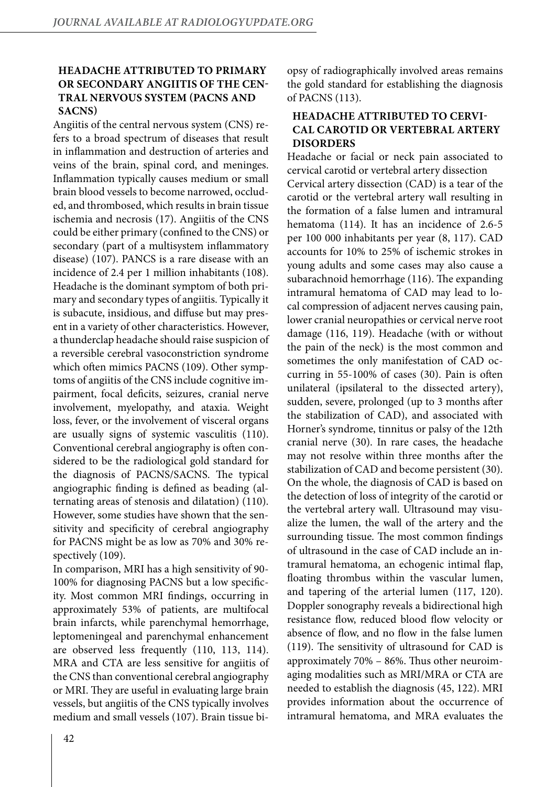# **HEADACHE ATTRIBUTED TO PRIMARY OR SECONDARY ANGIITIS OF THE CEN-TRAL NERVOUS SYSTEM (PACNS AND SACNS)**

Angiitis of the central nervous system (CNS) refers to a broad spectrum of diseases that result in inflammation and destruction of arteries and veins of the brain, spinal cord, and meninges. Inflammation typically causes medium or small brain blood vessels to become narrowed, occluded, and thrombosed, which results in brain tissue ischemia and necrosis (17). Angiitis of the CNS could be either primary (confined to the CNS) or secondary (part of a multisystem inflammatory disease) (107). PANCS is a rare disease with an incidence of 2.4 per 1 million inhabitants (108). Headache is the dominant symptom of both primary and secondary types of angiitis. Typically it is subacute, insidious, and diffuse but may present in a variety of other characteristics. However, a thunderclap headache should raise suspicion of a reversible cerebral vasoconstriction syndrome which often mimics PACNS (109). Other symptoms of angiitis of the CNS include cognitive impairment, focal deficits, seizures, cranial nerve involvement, myelopathy, and ataxia. Weight loss, fever, or the involvement of visceral organs are usually signs of systemic vasculitis (110). Conventional cerebral angiography is often considered to be the radiological gold standard for the diagnosis of PACNS/SACNS. The typical angiographic finding is defined as beading (alternating areas of stenosis and dilatation) (110). However, some studies have shown that the sensitivity and specificity of cerebral angiography for PACNS might be as low as 70% and 30% respectively (109).

In comparison, MRI has a high sensitivity of 90- 100% for diagnosing PACNS but a low specificity. Most common MRI findings, occurring in approximately 53% of patients, are multifocal brain infarcts, while parenchymal hemorrhage, leptomeningeal and parenchymal enhancement are observed less frequently (110, 113, 114). MRA and CTA are less sensitive for angiitis of the CNS than conventional cerebral angiography or MRI. They are useful in evaluating large brain vessels, but angiitis of the CNS typically involves medium and small vessels (107). Brain tissue biopsy of radiographically involved areas remains the gold standard for establishing the diagnosis of PACNS (113).

## **HEADACHE ATTRIBUTED TO CERVI-CAL CAROTID OR VERTEBRAL ARTERY DISORDERS**

Headache or facial or neck pain associated to cervical carotid or vertebral artery dissection Cervical artery dissection (CAD) is a tear of the carotid or the vertebral artery wall resulting in the formation of a false lumen and intramural hematoma (114). It has an incidence of 2.6-5 per 100 000 inhabitants per year (8, 117). CAD accounts for 10% to 25% of ischemic strokes in young adults and some cases may also cause a subarachnoid hemorrhage (116). The expanding intramural hematoma of CAD may lead to local compression of adjacent nerves causing pain, lower cranial neuropathies or cervical nerve root damage (116, 119). Headache (with or without the pain of the neck) is the most common and sometimes the only manifestation of CAD occurring in 55-100% of cases (30). Pain is often unilateral (ipsilateral to the dissected artery), sudden, severe, prolonged (up to 3 months after the stabilization of CAD), and associated with Horner's syndrome, tinnitus or palsy of the 12th cranial nerve (30). In rare cases, the headache may not resolve within three months after the stabilization of CAD and become persistent (30). On the whole, the diagnosis of CAD is based on the detection of loss of integrity of the carotid or the vertebral artery wall. Ultrasound may visualize the lumen, the wall of the artery and the surrounding tissue. The most common findings of ultrasound in the case of CAD include an intramural hematoma, an echogenic intimal flap, floating thrombus within the vascular lumen, and tapering of the arterial lumen (117, 120). Doppler sonography reveals a bidirectional high resistance flow, reduced blood flow velocity or absence of flow, and no flow in the false lumen (119). The sensitivity of ultrasound for CAD is approximately 70% – 86%. Thus other neuroimaging modalities such as MRI/MRA or CTA are needed to establish the diagnosis (45, 122). MRI provides information about the occurrence of intramural hematoma, and MRA evaluates the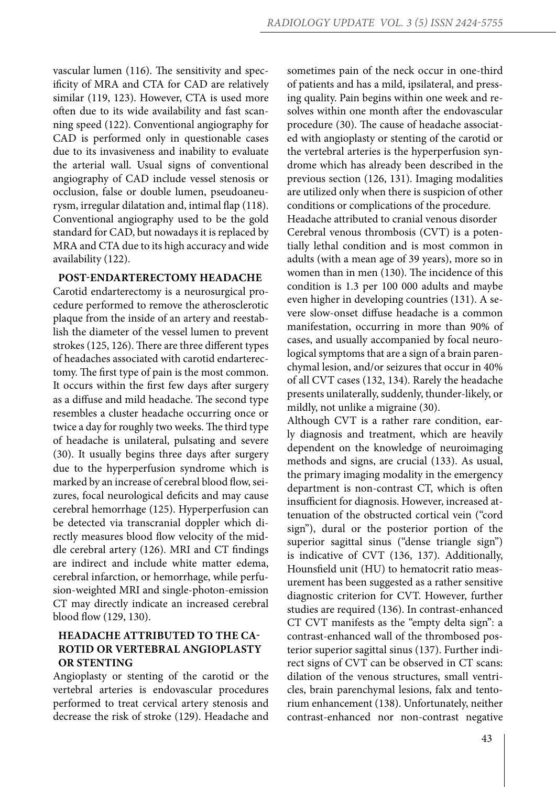vascular lumen (116). The sensitivity and specificity of MRA and CTA for CAD are relatively similar (119, 123). However, CTA is used more often due to its wide availability and fast scanning speed (122). Conventional angiography for CAD is performed only in questionable cases due to its invasiveness and inability to evaluate the arterial wall. Usual signs of conventional angiography of CAD include vessel stenosis or occlusion, false or double lumen, pseudoaneurysm, irregular dilatation and, intimal flap (118). Conventional angiography used to be the gold standard for CAD, but nowadays it is replaced by MRA and CTA due to its high accuracy and wide availability (122).

#### **POST-ENDARTERECTOMY HEADACHE**

Carotid endarterectomy is a neurosurgical procedure performed to remove the atherosclerotic plaque from the inside of an artery and reestablish the diameter of the vessel lumen to prevent strokes (125, 126). There are three different types of headaches associated with carotid endarterectomy. The first type of pain is the most common. It occurs within the first few days after surgery as a diffuse and mild headache. The second type resembles a cluster headache occurring once or twice a day for roughly two weeks. The third type of headache is unilateral, pulsating and severe (30). It usually begins three days after surgery due to the hyperperfusion syndrome which is marked by an increase of cerebral blood flow, seizures, focal neurological deficits and may cause cerebral hemorrhage (125). Hyperperfusion can be detected via transcranial doppler which directly measures blood flow velocity of the middle cerebral artery (126). MRI and CT findings are indirect and include white matter edema, cerebral infarction, or hemorrhage, while perfusion-weighted MRI and single-photon-emission CT may directly indicate an increased cerebral blood flow (129, 130).

# **HEADACHE ATTRIBUTED TO THE CA-ROTID OR VERTEBRAL ANGIOPLASTY OR STENTING**

Angioplasty or stenting of the carotid or the vertebral arteries is endovascular procedures performed to treat cervical artery stenosis and decrease the risk of stroke (129). Headache and sometimes pain of the neck occur in one-third of patients and has a mild, ipsilateral, and pressing quality. Pain begins within one week and resolves within one month after the endovascular procedure (30). The cause of headache associated with angioplasty or stenting of the carotid or the vertebral arteries is the hyperperfusion syndrome which has already been described in the previous section (126, 131). Imaging modalities are utilized only when there is suspicion of other conditions or complications of the procedure.

Headache attributed to cranial venous disorder Cerebral venous thrombosis (CVT) is a potentially lethal condition and is most common in adults (with a mean age of 39 years), more so in women than in men (130). The incidence of this condition is 1.3 per 100 000 adults and maybe even higher in developing countries (131). A severe slow-onset diffuse headache is a common manifestation, occurring in more than 90% of cases, and usually accompanied by focal neurological symptoms that are a sign of a brain parenchymal lesion, and/or seizures that occur in 40% of all CVT cases (132, 134). Rarely the headache presents unilaterally, suddenly, thunder-likely, or mildly, not unlike a migraine (30).

Although CVT is a rather rare condition, early diagnosis and treatment, which are heavily dependent on the knowledge of neuroimaging methods and signs, are crucial (133). As usual, the primary imaging modality in the emergency department is non-contrast CT, which is often insufficient for diagnosis. However, increased attenuation of the obstructed cortical vein ("cord sign"), dural or the posterior portion of the superior sagittal sinus ("dense triangle sign") is indicative of CVT (136, 137). Additionally, Hounsfield unit (HU) to hematocrit ratio measurement has been suggested as a rather sensitive diagnostic criterion for CVT. However, further studies are required (136). In contrast-enhanced CT CVT manifests as the "empty delta sign": a contrast-enhanced wall of the thrombosed posterior superior sagittal sinus (137). Further indirect signs of CVT can be observed in CT scans: dilation of the venous structures, small ventricles, brain parenchymal lesions, falx and tentorium enhancement (138). Unfortunately, neither contrast-enhanced nor non-contrast negative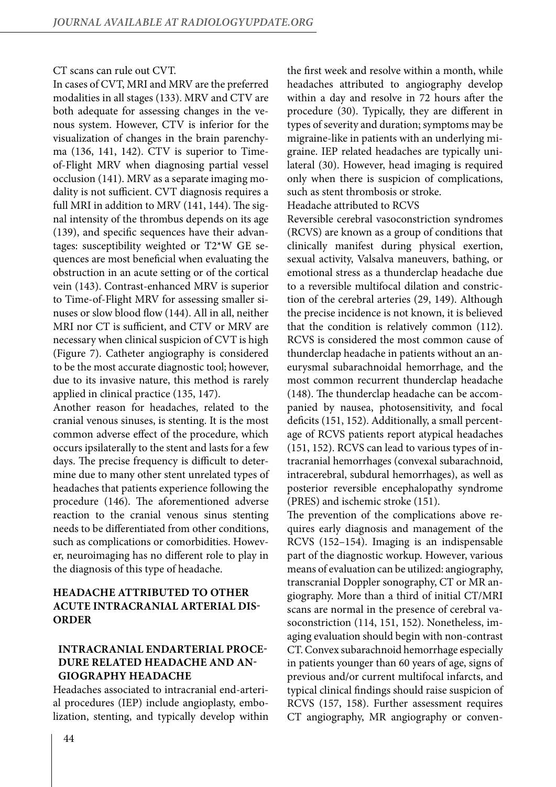#### CT scans can rule out CVT.

In cases of CVT, MRI and MRV are the preferred modalities in all stages (133). MRV and CTV are both adequate for assessing changes in the venous system. However, CTV is inferior for the visualization of changes in the brain parenchyma (136, 141, 142). CTV is superior to Timeof-Flight MRV when diagnosing partial vessel occlusion (141). MRV as a separate imaging modality is not sufficient. CVT diagnosis requires a full MRI in addition to MRV (141, 144). The signal intensity of the thrombus depends on its age (139), and specific sequences have their advantages: susceptibility weighted or T2\*W GE sequences are most beneficial when evaluating the obstruction in an acute setting or of the cortical vein (143). Contrast-enhanced MRV is superior to Time-of-Flight MRV for assessing smaller sinuses or slow blood flow (144). All in all, neither MRI nor CT is sufficient, and CTV or MRV are necessary when clinical suspicion of CVT is high (Figure 7). Catheter angiography is considered to be the most accurate diagnostic tool; however, due to its invasive nature, this method is rarely applied in clinical practice (135, 147).

Another reason for headaches, related to the cranial venous sinuses, is stenting. It is the most common adverse effect of the procedure, which occurs ipsilaterally to the stent and lasts for a few days. The precise frequency is difficult to determine due to many other stent unrelated types of headaches that patients experience following the procedure (146). The aforementioned adverse reaction to the cranial venous sinus stenting needs to be differentiated from other conditions, such as complications or comorbidities. However, neuroimaging has no different role to play in the diagnosis of this type of headache.

# **HEADACHE ATTRIBUTED TO OTHER ACUTE INTRACRANIAL ARTERIAL DIS-ORDER**

# **INTRACRANIAL ENDARTERIAL PROCE-DURE RELATED HEADACHE AND AN-GIOGRAPHY HEADACHE**

Headaches associated to intracranial end-arterial procedures (IEP) include angioplasty, embolization, stenting, and typically develop within the first week and resolve within a month, while headaches attributed to angiography develop within a day and resolve in 72 hours after the procedure (30). Typically, they are different in types of severity and duration; symptoms may be migraine-like in patients with an underlying migraine. IEP related headaches are typically unilateral (30). However, head imaging is required only when there is suspicion of complications, such as stent thrombosis or stroke.

Headache attributed to RCVS

Reversible cerebral vasoconstriction syndromes (RCVS) are known as a group of conditions that clinically manifest during physical exertion, sexual activity, Valsalva maneuvers, bathing, or emotional stress as a thunderclap headache due to a reversible multifocal dilation and constriction of the cerebral arteries (29, 149). Although the precise incidence is not known, it is believed that the condition is relatively common (112). RCVS is considered the most common cause of thunderclap headache in patients without an aneurysmal subarachnoidal hemorrhage, and the most common recurrent thunderclap headache (148). The thunderclap headache can be accompanied by nausea, photosensitivity, and focal deficits (151, 152). Additionally, a small percentage of RCVS patients report atypical headaches (151, 152). RCVS can lead to various types of intracranial hemorrhages (convexal subarachnoid, intracerebral, subdural hemorrhages), as well as posterior reversible encephalopathy syndrome (PRES) and ischemic stroke (151).

The prevention of the complications above requires early diagnosis and management of the RCVS (152–154). Imaging is an indispensable part of the diagnostic workup. However, various means of evaluation can be utilized: angiography, transcranial Doppler sonography, CT or MR angiography. More than a third of initial CT/MRI scans are normal in the presence of cerebral vasoconstriction (114, 151, 152). Nonetheless, imaging evaluation should begin with non-contrast CT. Convex subarachnoid hemorrhage especially in patients younger than 60 years of age, signs of previous and/or current multifocal infarcts, and typical clinical findings should raise suspicion of RCVS (157, 158). Further assessment requires CT angiography, MR angiography or conven-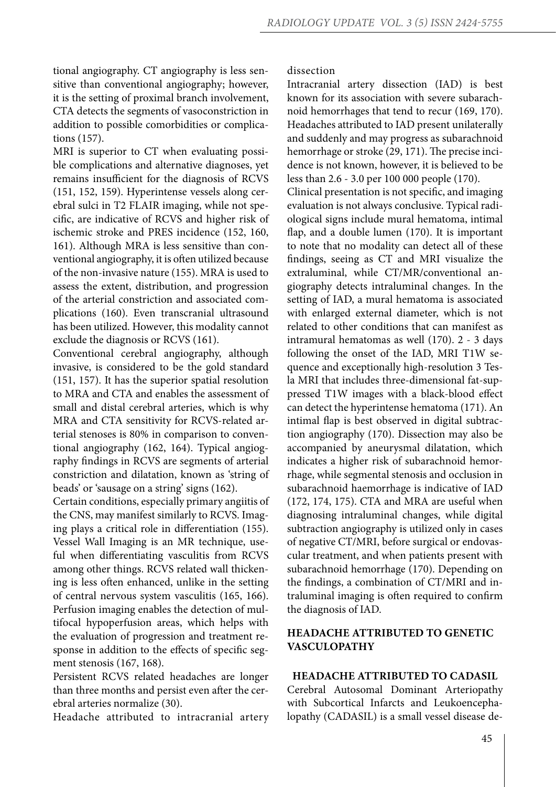tional angiography. CT angiography is less sensitive than conventional angiography; however, it is the setting of proximal branch involvement, CTA detects the segments of vasoconstriction in addition to possible comorbidities or complications (157).

MRI is superior to CT when evaluating possible complications and alternative diagnoses, yet remains insufficient for the diagnosis of RCVS (151, 152, 159). Hyperintense vessels along cerebral sulci in T2 FLAIR imaging, while not specific, are indicative of RCVS and higher risk of ischemic stroke and PRES incidence (152, 160, 161). Although MRA is less sensitive than conventional angiography, it is often utilized because of the non-invasive nature (155). MRA is used to assess the extent, distribution, and progression of the arterial constriction and associated complications (160). Even transcranial ultrasound has been utilized. However, this modality cannot exclude the diagnosis or RCVS (161).

Conventional cerebral angiography, although invasive, is considered to be the gold standard (151, 157). It has the superior spatial resolution to MRA and CTA and enables the assessment of small and distal cerebral arteries, which is why MRA and CTA sensitivity for RCVS-related arterial stenoses is 80% in comparison to conventional angiography (162, 164). Typical angiography findings in RCVS are segments of arterial constriction and dilatation, known as 'string of beads' or 'sausage on a string' signs (162).

Certain conditions, especially primary angiitis of the CNS, may manifest similarly to RCVS. Imaging plays a critical role in differentiation (155). Vessel Wall Imaging is an MR technique, useful when differentiating vasculitis from RCVS among other things. RCVS related wall thickening is less often enhanced, unlike in the setting of central nervous system vasculitis (165, 166). Perfusion imaging enables the detection of multifocal hypoperfusion areas, which helps with the evaluation of progression and treatment response in addition to the effects of specific segment stenosis (167, 168).

Persistent RCVS related headaches are longer than three months and persist even after the cerebral arteries normalize (30).

Headache attributed to intracranial artery

dissection

Intracranial artery dissection (IAD) is best known for its association with severe subarachnoid hemorrhages that tend to recur (169, 170). Headaches attributed to IAD present unilaterally and suddenly and may progress as subarachnoid hemorrhage or stroke (29, 171). The precise incidence is not known, however, it is believed to be less than 2.6 - 3.0 per 100 000 people (170).

Clinical presentation is not specific, and imaging evaluation is not always conclusive. Typical radiological signs include mural hematoma, intimal flap, and a double lumen (170). It is important to note that no modality can detect all of these findings, seeing as CT and MRI visualize the extraluminal, while CT/MR/conventional angiography detects intraluminal changes. In the setting of IAD, a mural hematoma is associated with enlarged external diameter, which is not related to other conditions that can manifest as intramural hematomas as well (170). 2 - 3 days following the onset of the IAD, MRI T1W sequence and exceptionally high-resolution 3 Tesla MRI that includes three-dimensional fat-suppressed T1W images with a black-blood effect can detect the hyperintense hematoma (171). An intimal flap is best observed in digital subtraction angiography (170). Dissection may also be accompanied by aneurysmal dilatation, which indicates a higher risk of subarachnoid hemorrhage, while segmental stenosis and occlusion in subarachnoid haemorrhage is indicative of IAD (172, 174, 175). CTA and MRA are useful when diagnosing intraluminal changes, while digital subtraction angiography is utilized only in cases of negative CT/MRI, before surgical or endovascular treatment, and when patients present with subarachnoid hemorrhage (170). Depending on the findings, a combination of CT/MRI and intraluminal imaging is often required to confirm the diagnosis of IAD.

# **HEADACHE ATTRIBUTED TO GENETIC VASCULOPATHY**

# **HEADACHE ATTRIBUTED TO CADASIL**

Cerebral Autosomal Dominant Arteriopathy with Subcortical Infarcts and Leukoencephalopathy (CADASIL) is a small vessel disease de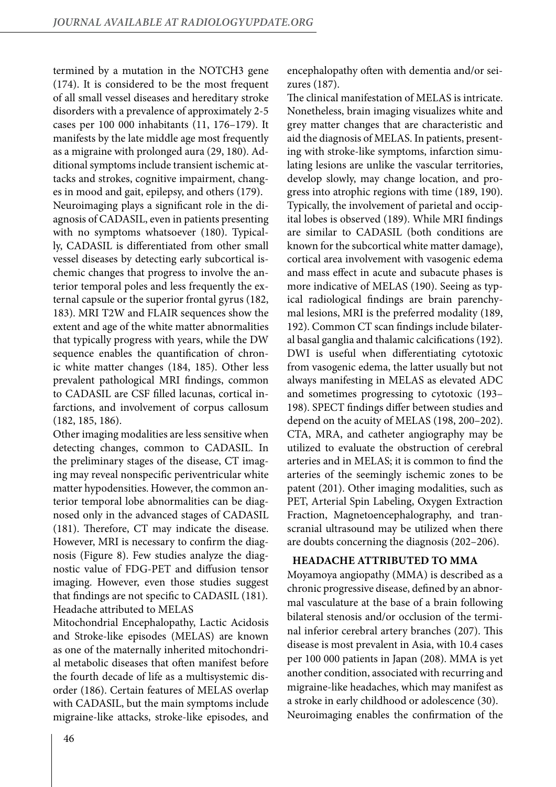termined by a mutation in the NOTCH3 gene (174). It is considered to be the most frequent of all small vessel diseases and hereditary stroke disorders with a prevalence of approximately 2-5 cases per 100 000 inhabitants (11, 176–179). It manifests by the late middle age most frequently as a migraine with prolonged aura (29, 180). Additional symptoms include transient ischemic attacks and strokes, cognitive impairment, changes in mood and gait, epilepsy, and others (179). Neuroimaging plays a significant role in the diagnosis of CADASIL, even in patients presenting with no symptoms whatsoever (180). Typically, CADASIL is differentiated from other small vessel diseases by detecting early subcortical ischemic changes that progress to involve the anterior temporal poles and less frequently the external capsule or the superior frontal gyrus (182, 183). MRI T2W and FLAIR sequences show the extent and age of the white matter abnormalities that typically progress with years, while the DW sequence enables the quantification of chronic white matter changes (184, 185). Other less prevalent pathological MRI findings, common to CADASIL are CSF filled lacunas, cortical infarctions, and involvement of corpus callosum (182, 185, 186).

Other imaging modalities are less sensitive when detecting changes, common to CADASIL. In the preliminary stages of the disease, CT imaging may reveal nonspecific periventricular white matter hypodensities. However, the common anterior temporal lobe abnormalities can be diagnosed only in the advanced stages of CADASIL (181). Therefore, CT may indicate the disease. However, MRI is necessary to confirm the diagnosis (Figure 8). Few studies analyze the diagnostic value of FDG-PET and diffusion tensor imaging. However, even those studies suggest that findings are not specific to CADASIL (181). Headache attributed to MELAS

Mitochondrial Encephalopathy, Lactic Acidosis and Stroke-like episodes (MELAS) are known as one of the maternally inherited mitochondrial metabolic diseases that often manifest before the fourth decade of life as a multisystemic disorder (186). Certain features of MELAS overlap with CADASIL, but the main symptoms include migraine-like attacks, stroke-like episodes, and encephalopathy often with dementia and/or seizures (187).

The clinical manifestation of MELAS is intricate. Nonetheless, brain imaging visualizes white and grey matter changes that are characteristic and aid the diagnosis of MELAS. In patients, presenting with stroke-like symptoms, infarction simulating lesions are unlike the vascular territories, develop slowly, may change location, and progress into atrophic regions with time (189, 190). Typically, the involvement of parietal and occipital lobes is observed (189). While MRI findings are similar to CADASIL (both conditions are known for the subcortical white matter damage), cortical area involvement with vasogenic edema and mass effect in acute and subacute phases is more indicative of MELAS (190). Seeing as typical radiological findings are brain parenchymal lesions, MRI is the preferred modality (189, 192). Common CT scan findings include bilateral basal ganglia and thalamic calcifications (192). DWI is useful when differentiating cytotoxic from vasogenic edema, the latter usually but not always manifesting in MELAS as elevated ADC and sometimes progressing to cytotoxic (193– 198). SPECT findings differ between studies and depend on the acuity of MELAS (198, 200–202). CTA, MRA, and catheter angiography may be utilized to evaluate the obstruction of cerebral arteries and in MELAS; it is common to find the arteries of the seemingly ischemic zones to be patent (201). Other imaging modalities, such as PET, Arterial Spin Labeling, Oxygen Extraction Fraction, Magnetoencephalography, and transcranial ultrasound may be utilized when there are doubts concerning the diagnosis (202–206).

## **HEADACHE ATTRIBUTED TO MMA**

Moyamoya angiopathy (MMA) is described as a chronic progressive disease, defined by an abnormal vasculature at the base of a brain following bilateral stenosis and/or occlusion of the terminal inferior cerebral artery branches (207). This disease is most prevalent in Asia, with 10.4 cases per 100 000 patients in Japan (208). MMA is yet another condition, associated with recurring and migraine-like headaches, which may manifest as a stroke in early childhood or adolescence (30). Neuroimaging enables the confirmation of the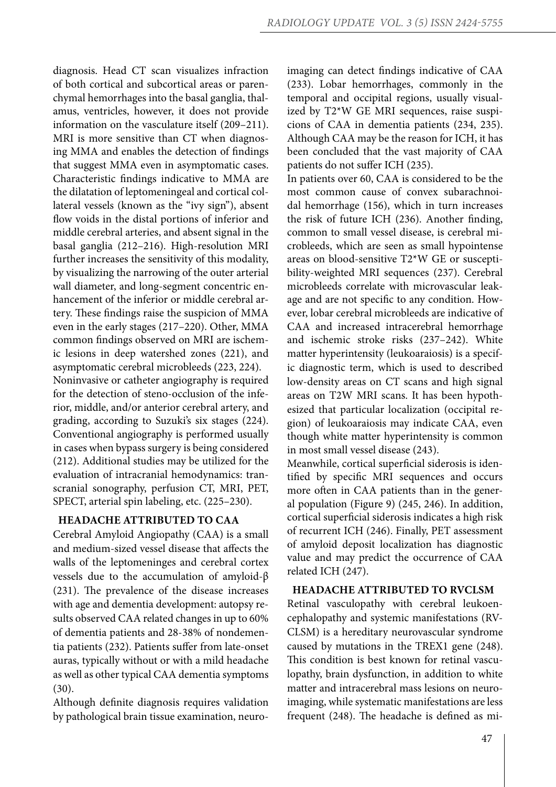diagnosis. Head CT scan visualizes infraction of both cortical and subcortical areas or parenchymal hemorrhages into the basal ganglia, thalamus, ventricles, however, it does not provide information on the vasculature itself (209–211). MRI is more sensitive than CT when diagnosing MMA and enables the detection of findings that suggest MMA even in asymptomatic cases. Characteristic findings indicative to MMA are the dilatation of leptomeningeal and cortical collateral vessels (known as the "ivy sign"), absent flow voids in the distal portions of inferior and middle cerebral arteries, and absent signal in the basal ganglia (212–216). High-resolution MRI further increases the sensitivity of this modality, by visualizing the narrowing of the outer arterial wall diameter, and long-segment concentric enhancement of the inferior or middle cerebral artery. These findings raise the suspicion of MMA even in the early stages (217–220). Other, MMA common findings observed on MRI are ischemic lesions in deep watershed zones (221), and asymptomatic cerebral microbleeds (223, 224).

Noninvasive or catheter angiography is required for the detection of steno-occlusion of the inferior, middle, and/or anterior cerebral artery, and grading, according to Suzuki's six stages (224). Conventional angiography is performed usually in cases when bypass surgery is being considered (212). Additional studies may be utilized for the evaluation of intracranial hemodynamics: transcranial sonography, perfusion CT, MRI, PET, SPECT, arterial spin labeling, etc. (225–230).

## **HEADACHE ATTRIBUTED TO CAA**

Cerebral Amyloid Angiopathy (CAA) is a small and medium-sized vessel disease that affects the walls of the leptomeninges and cerebral cortex vessels due to the accumulation of amyloid-β (231). The prevalence of the disease increases with age and dementia development: autopsy results observed CAA related changes in up to 60% of dementia patients and 28-38% of nondementia patients (232). Patients suffer from late-onset auras, typically without or with a mild headache as well as other typical CAA dementia symptoms (30).

Although definite diagnosis requires validation by pathological brain tissue examination, neuroimaging can detect findings indicative of CAA (233). Lobar hemorrhages, commonly in the temporal and occipital regions, usually visualized by T2\*W GE MRI sequences, raise suspicions of CAA in dementia patients (234, 235). Although CAA may be the reason for ICH, it has been concluded that the vast majority of CAA patients do not suffer ICH (235).

In patients over 60, CAA is considered to be the most common cause of convex subarachnoidal hemorrhage (156), which in turn increases the risk of future ICH (236). Another finding, common to small vessel disease, is cerebral microbleeds, which are seen as small hypointense areas on blood-sensitive T2\*W GE or susceptibility-weighted MRI sequences (237). Cerebral microbleeds correlate with microvascular leakage and are not specific to any condition. However, lobar cerebral microbleeds are indicative of CAA and increased intracerebral hemorrhage and ischemic stroke risks (237–242). White matter hyperintensity (leukoaraiosis) is a specific diagnostic term, which is used to described low-density areas on CT scans and high signal areas on T2W MRI scans. It has been hypothesized that particular localization (occipital region) of leukoaraiosis may indicate CAA, even though white matter hyperintensity is common in most small vessel disease (243).

Meanwhile, cortical superficial siderosis is identified by specific MRI sequences and occurs more often in CAA patients than in the general population (Figure 9) (245, 246). In addition, cortical superficial siderosis indicates a high risk of recurrent ICH (246). Finally, PET assessment of amyloid deposit localization has diagnostic value and may predict the occurrence of CAA related ICH (247).

## **HEADACHE ATTRIBUTED TO RVCLSM**

Retinal vasculopathy with cerebral leukoencephalopathy and systemic manifestations (RV-CLSM) is a hereditary neurovascular syndrome caused by mutations in the TREX1 gene (248). This condition is best known for retinal vasculopathy, brain dysfunction, in addition to white matter and intracerebral mass lesions on neuroimaging, while systematic manifestations are less frequent (248). The headache is defined as mi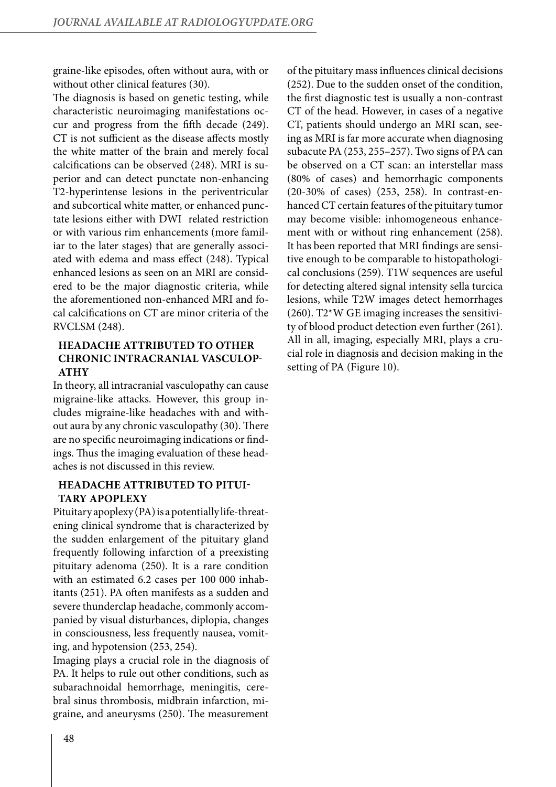graine-like episodes, often without aura, with or without other clinical features (30).

The diagnosis is based on genetic testing, while characteristic neuroimaging manifestations occur and progress from the fifth decade (249). CT is not sufficient as the disease affects mostly the white matter of the brain and merely focal calcifications can be observed (248). MRI is superior and can detect punctate non-enhancing T2-hyperintense lesions in the periventricular and subcortical white matter, or enhanced punctate lesions either with DWI related restriction or with various rim enhancements (more familiar to the later stages) that are generally associated with edema and mass effect (248). Typical enhanced lesions as seen on an MRI are considered to be the major diagnostic criteria, while the aforementioned non-enhanced MRI and focal calcifications on CT are minor criteria of the RVCLSM (248).

# **HEADACHE ATTRIBUTED TO OTHER CHRONIC INTRACRANIAL VASCULOP-ATHY**

In theory, all intracranial vasculopathy can cause migraine-like attacks. However, this group includes migraine-like headaches with and without aura by any chronic vasculopathy (30). There are no specific neuroimaging indications or findings. Thus the imaging evaluation of these headaches is not discussed in this review.

## **HEADACHE ATTRIBUTED TO PITUI-TARY APOPLEXY**

Pituitary apoplexy (PA) is a potentially life-threatening clinical syndrome that is characterized by the sudden enlargement of the pituitary gland frequently following infarction of a preexisting pituitary adenoma (250). It is a rare condition with an estimated 6.2 cases per 100 000 inhabitants (251). PA often manifests as a sudden and severe thunderclap headache, commonly accompanied by visual disturbances, diplopia, changes in consciousness, less frequently nausea, vomiting, and hypotension (253, 254).

Imaging plays a crucial role in the diagnosis of PA. It helps to rule out other conditions, such as subarachnoidal hemorrhage, meningitis, cerebral sinus thrombosis, midbrain infarction, migraine, and aneurysms (250). The measurement

of the pituitary mass influences clinical decisions (252). Due to the sudden onset of the condition, the first diagnostic test is usually a non-contrast CT of the head. However, in cases of a negative CT, patients should undergo an MRI scan, seeing as MRI is far more accurate when diagnosing subacute PA (253, 255–257). Two signs of PA can be observed on a CT scan: an interstellar mass (80% of cases) and hemorrhagic components (20-30% of cases) (253, 258). In contrast-enhanced CT certain features of the pituitary tumor may become visible: inhomogeneous enhancement with or without ring enhancement (258). It has been reported that MRI findings are sensitive enough to be comparable to histopathological conclusions (259). T1W sequences are useful for detecting altered signal intensity sella turcica lesions, while T2W images detect hemorrhages (260). T2\*W GE imaging increases the sensitivity of blood product detection even further (261). All in all, imaging, especially MRI, plays a crucial role in diagnosis and decision making in the setting of PA (Figure 10).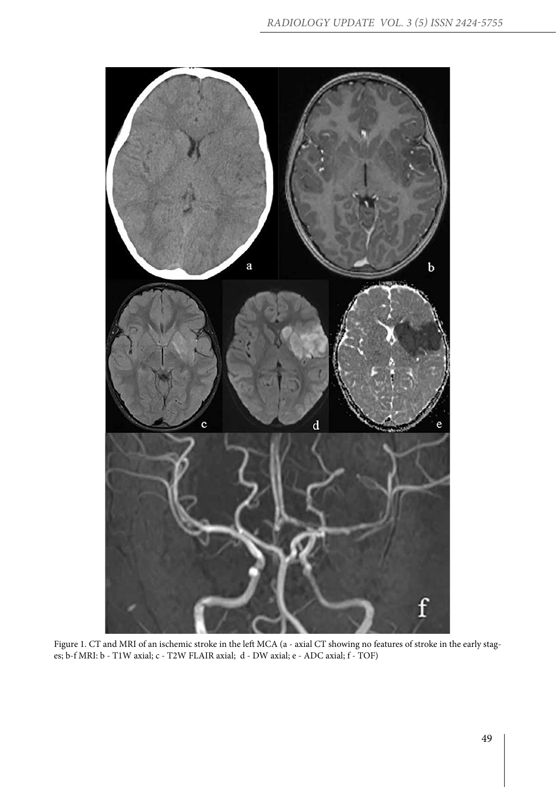

Figure 1. CT and MRI of an ischemic stroke in the left MCA (a - axial CT showing no features of stroke in the early stages; b-f MRI: b - T1W axial; c - T2W FLAIR axial; d - DW axial; e - ADC axial; f - TOF)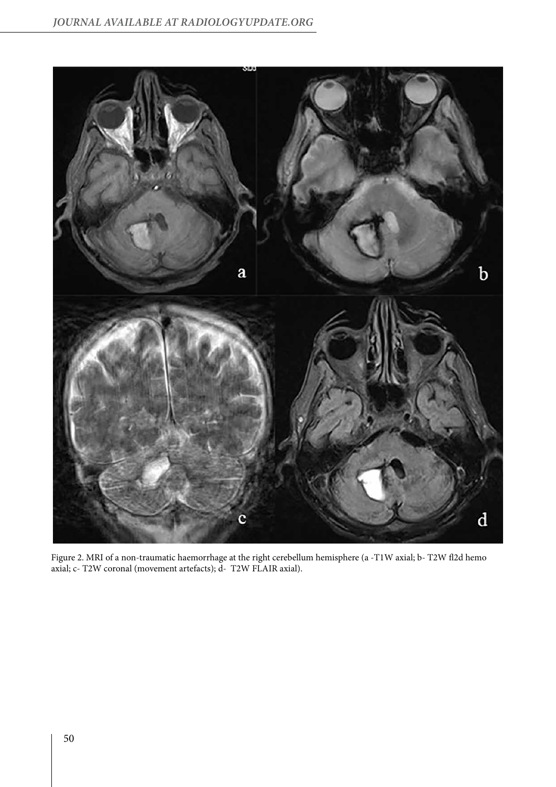

Figure 2. MRI of a non-traumatic haemorrhage at the right cerebellum hemisphere (a -T1W axial; b- T2W fl2d hemo axial; c- T2W coronal (movement artefacts); d- T2W FLAIR axial).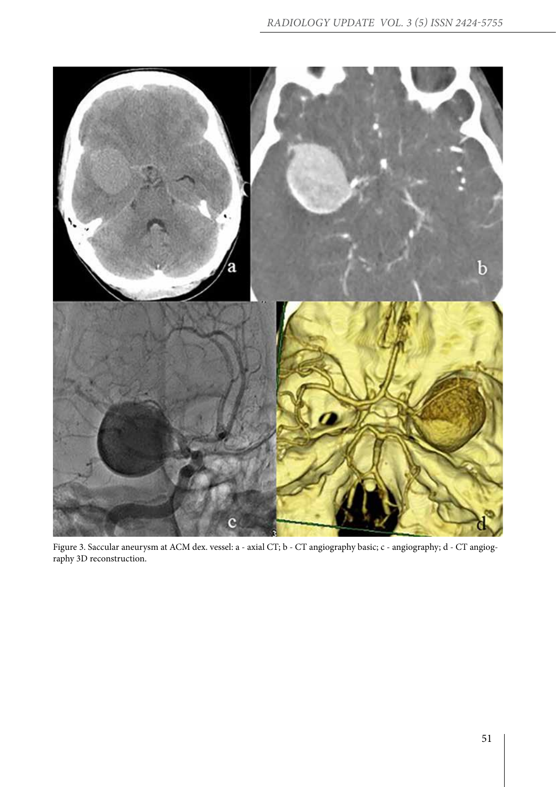

Figure 3. Saccular aneurysm at ACM dex. vessel: a - axial CT; b - CT angiography basic; c - angiography; d - CT angiography 3D reconstruction.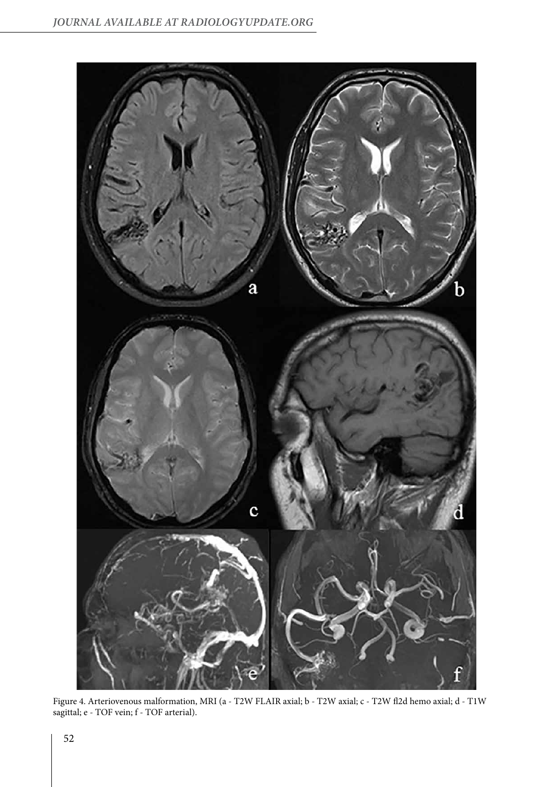

Figure 4. Arteriovenous malformation, MRI (a - T2W FLAIR axial; b - T2W axial; c - T2W fl2d hemo axial; d - T1W sagittal; e - TOF vein; f - TOF arterial).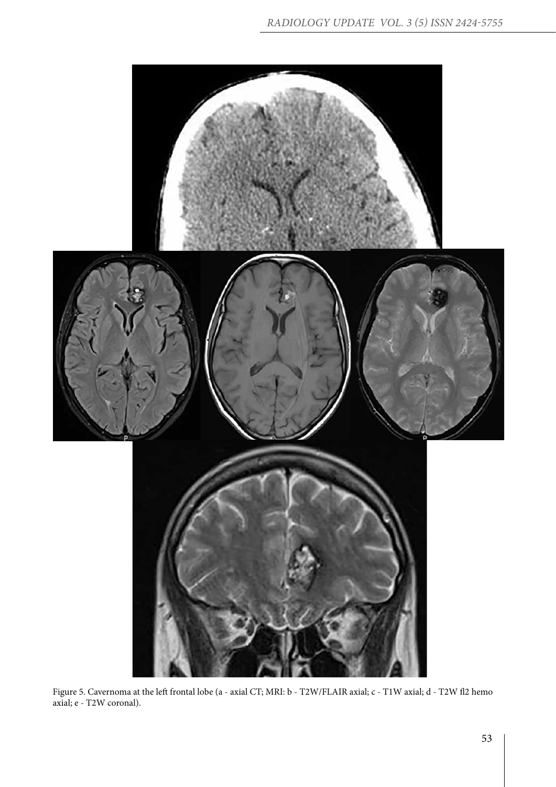

Figure 5. Cavernoma at the left frontal lobe (a - axial CT; MRI: b - T2W/FLAIR axial; c - T1W axial; d - T2W fl2 hemo axial; e - T2W coronal).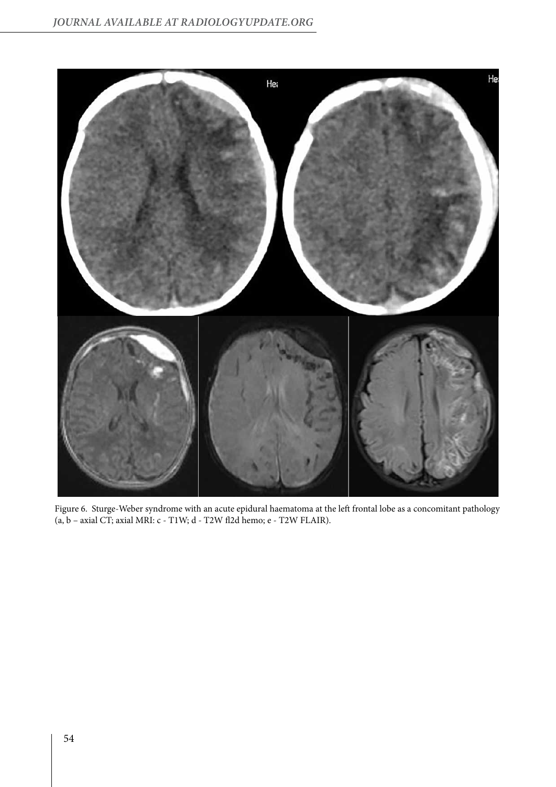

Figure 6. Sturge-Weber syndrome with an acute epidural haematoma at the left frontal lobe as a concomitant pathology (a, b – axial CT; axial MRI: c - T1W; d - T2W fl2d hemo; e - T2W FLAIR).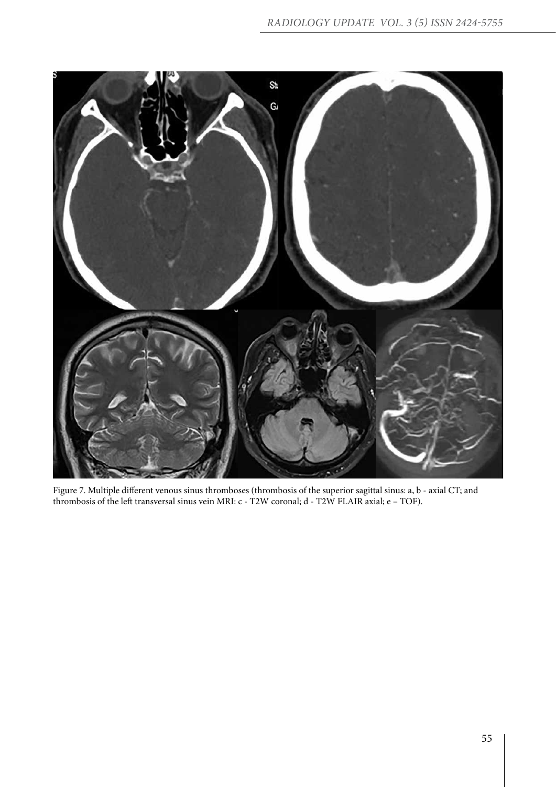

Figure 7. Multiple different venous sinus thromboses (thrombosis of the superior sagittal sinus: a, b - axial CT; and thrombosis of the left transversal sinus vein MRI: c - T2W coronal; d - T2W FLAIR axial; e – TOF).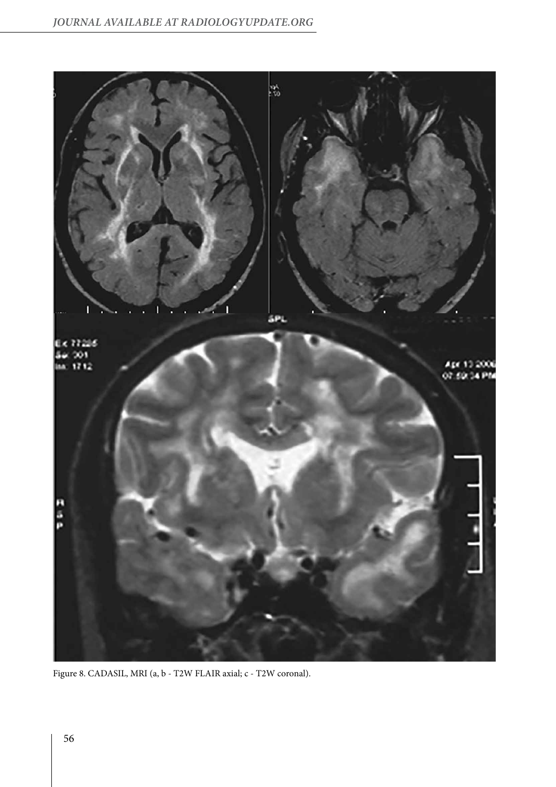

Figure 8. CADASIL, MRI (a, b - T2W FLAIR axial; c - T2W coronal).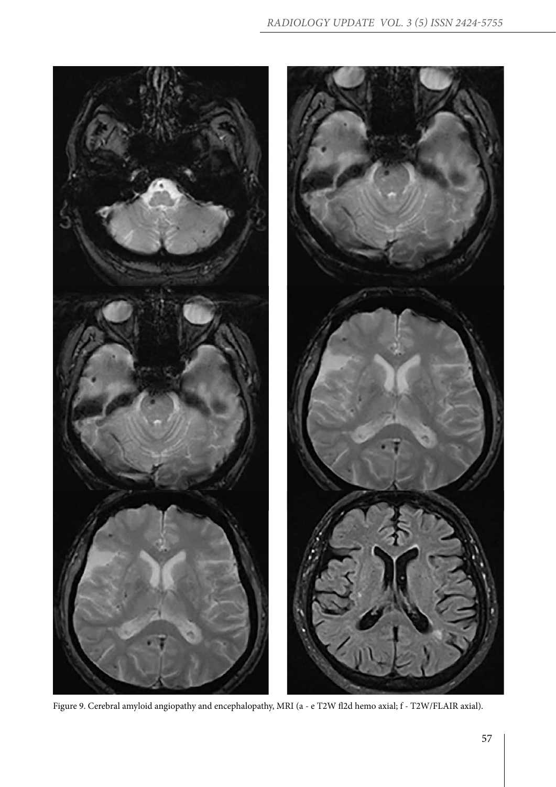

Figure 9. Cerebral amyloid angiopathy and encephalopathy, MRI (a - e T2W fl2d hemo axial; f - T2W/FLAIR axial).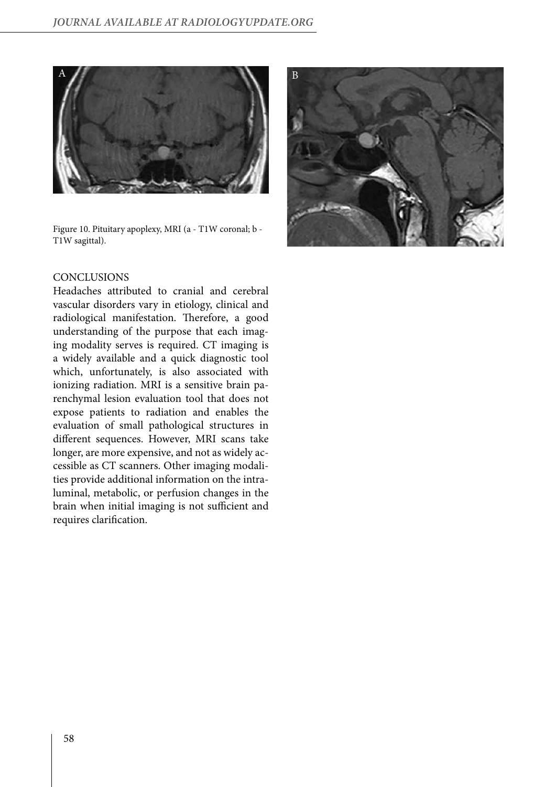

Figure 10. Pituitary apoplexy, MRI (a - T1W coronal; b - T1W sagittal).



## **CONCLUSIONS**

Headaches attributed to cranial and cerebral vascular disorders vary in etiology, clinical and radiological manifestation. Therefore, a good understanding of the purpose that each imaging modality serves is required. CT imaging is a widely available and a quick diagnostic tool which, unfortunately, is also associated with ionizing radiation. MRI is a sensitive brain parenchymal lesion evaluation tool that does not expose patients to radiation and enables the evaluation of small pathological structures in different sequences. However, MRI scans take longer, are more expensive, and not as widely accessible as CT scanners. Other imaging modalities provide additional information on the intraluminal, metabolic, or perfusion changes in the brain when initial imaging is not sufficient and requires clarification.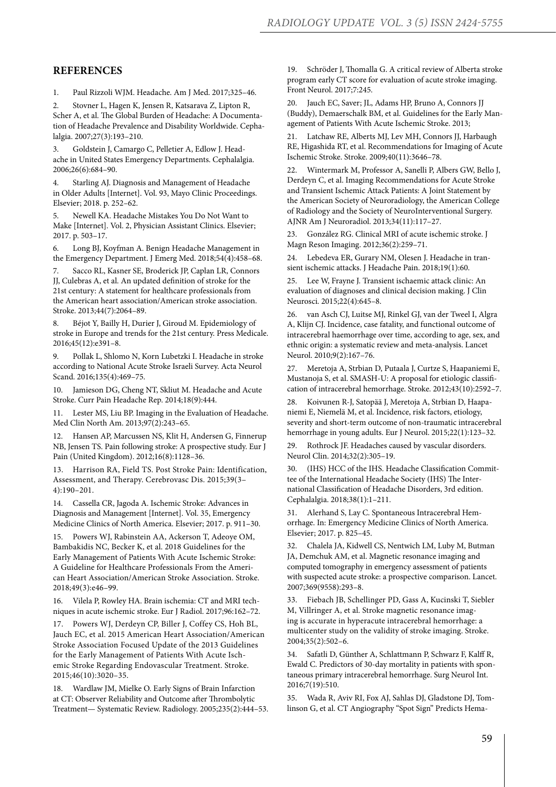#### **REFERENCES**

1. Paul Rizzoli WJM. Headache. Am J Med. 2017;325–46.

2. Stovner L, Hagen K, Jensen R, Katsarava Z, Lipton R, Scher A, et al. The Global Burden of Headache: A Documentation of Headache Prevalence and Disability Worldwide. Cephalalgia. 2007;27(3):193–210.

3. Goldstein J, Camargo C, Pelletier A, Edlow J. Headache in United States Emergency Departments. Cephalalgia. 2006;26(6):684–90.

4. Starling AJ. Diagnosis and Management of Headache in Older Adults [Internet]. Vol. 93, Mayo Clinic Proceedings. Elsevier; 2018. p. 252–62.

5. Newell KA. Headache Mistakes You Do Not Want to Make [Internet]. Vol. 2, Physician Assistant Clinics. Elsevier; 2017. p. 503–17.

6. Long BJ, Koyfman A. Benign Headache Management in the Emergency Department. J Emerg Med. 2018;54(4):458–68.

7. Sacco RL, Kasner SE, Broderick JP, Caplan LR, Connors JJ, Culebras A, et al. An updated definition of stroke for the 21st century: A statement for healthcare professionals from the American heart association/American stroke association. Stroke. 2013;44(7):2064–89.

8. Béjot Y, Bailly H, Durier J, Giroud M. Epidemiology of stroke in Europe and trends for the 21st century. Press Medicale. 2016;45(12):e391–8.

9. Pollak L, Shlomo N, Korn Lubetzki I. Headache in stroke according to National Acute Stroke Israeli Survey. Acta Neurol Scand. 2016;135(4):469–75.

10. Jamieson DG, Cheng NT, Skliut M. Headache and Acute Stroke. Curr Pain Headache Rep. 2014;18(9):444.

11. Lester MS, Liu BP. Imaging in the Evaluation of Headache. Med Clin North Am. 2013;97(2):243–65.

12. Hansen AP, Marcussen NS, Klit H, Andersen G, Finnerup NB, Jensen TS. Pain following stroke: A prospective study. Eur J Pain (United Kingdom). 2012;16(8):1128–36.

13. Harrison RA, Field TS. Post Stroke Pain: Identification, Assessment, and Therapy. Cerebrovasc Dis. 2015;39(3– 4):190–201.

14. Cassella CR, Jagoda A. Ischemic Stroke: Advances in Diagnosis and Management [Internet]. Vol. 35, Emergency Medicine Clinics of North America. Elsevier; 2017. p. 911–30.

15. Powers WJ, Rabinstein AA, Ackerson T, Adeoye OM, Bambakidis NC, Becker K, et al. 2018 Guidelines for the Early Management of Patients With Acute Ischemic Stroke: A Guideline for Healthcare Professionals From the American Heart Association/American Stroke Association. Stroke. 2018;49(3):e46–99.

16. Vilela P, Rowley HA. Brain ischemia: CT and MRI techniques in acute ischemic stroke. Eur J Radiol. 2017;96:162–72.

17. Powers WJ, Derdeyn CP, Biller J, Coffey CS, Hoh BL, Jauch EC, et al. 2015 American Heart Association/American Stroke Association Focused Update of the 2013 Guidelines for the Early Management of Patients With Acute Ischemic Stroke Regarding Endovascular Treatment. Stroke. 2015;46(10):3020–35.

18. Wardlaw JM, Mielke O. Early Signs of Brain Infarction at CT: Observer Reliability and Outcome after Thrombolytic Treatment— Systematic Review. Radiology. 2005;235(2):444–53. 19. Schröder J, Thomalla G. A critical review of Alberta stroke program early CT score for evaluation of acute stroke imaging. Front Neurol. 2017;7:245.

20. Jauch EC, Saver; JL, Adams HP, Bruno A, Connors JJ (Buddy), Demaerschalk BM, et al. Guidelines for the Early Management of Patients With Acute Ischemic Stroke. 2013;

21. Latchaw RE, Alberts MJ, Lev MH, Connors JJ, Harbaugh RE, Higashida RT, et al. Recommendations for Imaging of Acute Ischemic Stroke. Stroke. 2009;40(11):3646–78.

22. Wintermark M, Professor A, Sanelli P, Albers GW, Bello J, Derdeyn C, et al. Imaging Recommendations for Acute Stroke and Transient Ischemic Attack Patients: A Joint Statement by the American Society of Neuroradiology, the American College of Radiology and the Society of NeuroInterventional Surgery. AJNR Am J Neuroradiol. 2013;34(11):117–27.

23. González RG. Clinical MRI of acute ischemic stroke. J Magn Reson Imaging. 2012;36(2):259–71.

24. Lebedeva ER, Gurary NM, Olesen J. Headache in transient ischemic attacks. J Headache Pain. 2018;19(1):60.

25. Lee W, Frayne J. Transient ischaemic attack clinic: An evaluation of diagnoses and clinical decision making. J Clin Neurosci. 2015;22(4):645–8.

26. van Asch CJ, Luitse MJ, Rinkel GJ, van der Tweel I, Algra A, Klijn CJ. Incidence, case fatality, and functional outcome of intracerebral haemorrhage over time, according to age, sex, and ethnic origin: a systematic review and meta-analysis. Lancet Neurol. 2010;9(2):167–76.

27. Meretoja A, Strbian D, Putaala J, Curtze S, Haapaniemi E, Mustanoja S, et al. SMASH-U: A proposal for etiologic classification of intracerebral hemorrhage. Stroke. 2012;43(10):2592–7.

28. Koivunen R-J, Satopää J, Meretoja A, Strbian D, Haapaniemi E, Niemelä M, et al. Incidence, risk factors, etiology, severity and short-term outcome of non-traumatic intracerebral hemorrhage in young adults. Eur J Neurol. 2015;22(1):123–32.

29. Rothrock JF. Headaches caused by vascular disorders. Neurol Clin. 2014;32(2):305–19.

30. (IHS) HCC of the IHS. Headache Classification Committee of the International Headache Society (IHS) The International Classification of Headache Disorders, 3rd edition. Cephalalgia. 2018;38(1):1–211.

31. Alerhand S, Lay C. Spontaneous Intracerebral Hemorrhage. In: Emergency Medicine Clinics of North America. Elsevier; 2017. p. 825–45.

32. Chalela JA, Kidwell CS, Nentwich LM, Luby M, Butman JA, Demchuk AM, et al. Magnetic resonance imaging and computed tomography in emergency assessment of patients with suspected acute stroke: a prospective comparison. Lancet. 2007;369(9558):293–8.

33. Fiebach JB, Schellinger PD, Gass A, Kucinski T, Siebler M, Villringer A, et al. Stroke magnetic resonance imaging is accurate in hyperacute intracerebral hemorrhage: a multicenter study on the validity of stroke imaging. Stroke. 2004;35(2):502–6.

34. Safatli D, Günther A, Schlattmann P, Schwarz F, Kalff R, Ewald C. Predictors of 30-day mortality in patients with spontaneous primary intracerebral hemorrhage. Surg Neurol Int. 2016;7(19):510.

35. Wada R, Aviv RI, Fox AJ, Sahlas DJ, Gladstone DJ, Tomlinson G, et al. CT Angiography "Spot Sign" Predicts Hema-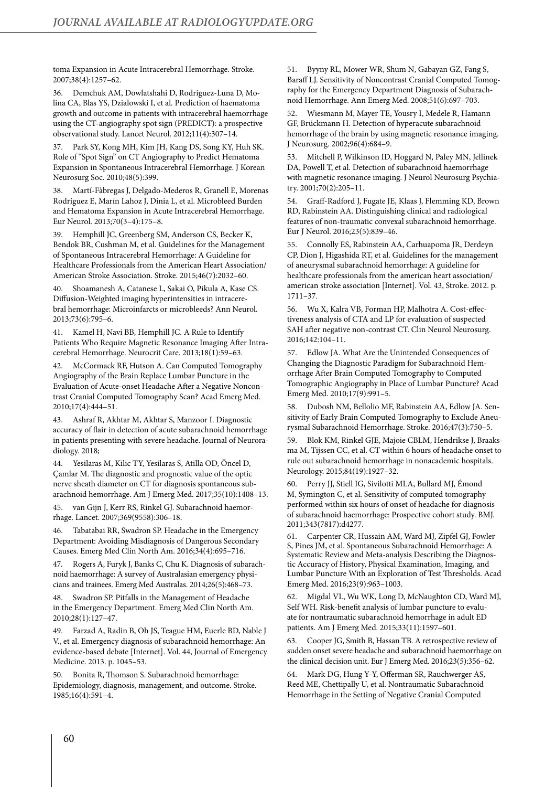toma Expansion in Acute Intracerebral Hemorrhage. Stroke. 2007;38(4):1257–62.

36. Demchuk AM, Dowlatshahi D, Rodriguez-Luna D, Molina CA, Blas YS, Dzialowski I, et al. Prediction of haematoma growth and outcome in patients with intracerebral haemorrhage using the CT-angiography spot sign (PREDICT): a prospective observational study. Lancet Neurol. 2012;11(4):307–14.

37. Park SY, Kong MH, Kim JH, Kang DS, Song KY, Huh SK. Role of "Spot Sign" on CT Angiography to Predict Hematoma Expansion in Spontaneous Intracerebral Hemorrhage. J Korean Neurosurg Soc. 2010;48(5):399.

38. Martí-Fàbregas J, Delgado-Mederos R, Granell E, Morenas Rodríguez E, Marín Lahoz J, Dinia L, et al. Microbleed Burden and Hematoma Expansion in Acute Intracerebral Hemorrhage. Eur Neurol. 2013;70(3–4):175–8.

39. Hemphill JC, Greenberg SM, Anderson CS, Becker K, Bendok BR, Cushman M, et al. Guidelines for the Management of Spontaneous Intracerebral Hemorrhage: A Guideline for Healthcare Professionals from the American Heart Association/ American Stroke Association. Stroke. 2015;46(7):2032–60.

40. Shoamanesh A, Catanese L, Sakai O, Pikula A, Kase CS. Diffusion-Weighted imaging hyperintensities in intracerebral hemorrhage: Microinfarcts or microbleeds? Ann Neurol. 2013;73(6):795–6.

41. Kamel H, Navi BB, Hemphill JC. A Rule to Identify Patients Who Require Magnetic Resonance Imaging After Intracerebral Hemorrhage. Neurocrit Care. 2013;18(1):59–63.

McCormack RF, Hutson A. Can Computed Tomography Angiography of the Brain Replace Lumbar Puncture in the Evaluation of Acute-onset Headache After a Negative Noncontrast Cranial Computed Tomography Scan? Acad Emerg Med. 2010;17(4):444–51.

43. Ashraf R, Akhtar M, Akhtar S, Manzoor I. Diagnostic accuracy of flair in detection of acute subarachnoid hemorrhage in patients presenting with severe headache. Journal of Neuroradiology. 2018;

44. Yesilaras M, Kilic TY, Yesilaras S, Atilla OD, Öncel D, Çamlar M. The diagnostic and prognostic value of the optic nerve sheath diameter on CT for diagnosis spontaneous subarachnoid hemorrhage. Am J Emerg Med. 2017;35(10):1408–13.

45. van Gijn J, Kerr RS, Rinkel GJ. Subarachnoid haemorrhage. Lancet. 2007;369(9558):306–18.

46. Tabatabai RR, Swadron SP. Headache in the Emergency Department: Avoiding Misdiagnosis of Dangerous Secondary Causes. Emerg Med Clin North Am. 2016;34(4):695–716.

47. Rogers A, Furyk J, Banks C, Chu K. Diagnosis of subarachnoid haemorrhage: A survey of Australasian emergency physicians and trainees. Emerg Med Australas. 2014;26(5):468–73.

48. Swadron SP. Pitfalls in the Management of Headache in the Emergency Department. Emerg Med Clin North Am. 2010;28(1):127–47.

49. Farzad A, Radin B, Oh JS, Teague HM, Euerle BD, Nable J V., et al. Emergency diagnosis of subarachnoid hemorrhage: An evidence-based debate [Internet]. Vol. 44, Journal of Emergency Medicine. 2013. p. 1045–53.

50. Bonita R, Thomson S. Subarachnoid hemorrhage: Epidemiology, diagnosis, management, and outcome. Stroke. 1985;16(4):591–4.

51. Byyny RL, Mower WR, Shum N, Gabayan GZ, Fang S, Baraff LJ. Sensitivity of Noncontrast Cranial Computed Tomography for the Emergency Department Diagnosis of Subarachnoid Hemorrhage. Ann Emerg Med. 2008;51(6):697–703.

52. Wiesmann M, Mayer TE, Yousry I, Medele R, Hamann GF, Brückmann H. Detection of hyperacute subarachnoid hemorrhage of the brain by using magnetic resonance imaging. J Neurosurg. 2002;96(4):684–9.

53. Mitchell P, Wilkinson ID, Hoggard N, Paley MN, Jellinek DA, Powell T, et al. Detection of subarachnoid haemorrhage with magnetic resonance imaging. J Neurol Neurosurg Psychiatry. 2001;70(2):205–11.

54. Graff-Radford J, Fugate JE, Klaas J, Flemming KD, Brown RD, Rabinstein AA. Distinguishing clinical and radiological features of non-traumatic convexal subarachnoid hemorrhage. Eur J Neurol. 2016;23(5):839–46.

55. Connolly ES, Rabinstein AA, Carhuapoma JR, Derdeyn CP, Dion J, Higashida RT, et al. Guidelines for the management of aneurysmal subarachnoid hemorrhage: A guideline for healthcare professionals from the american heart association/ american stroke association [Internet]. Vol. 43, Stroke. 2012. p. 1711–37.

56. Wu X, Kalra VB, Forman HP, Malhotra A. Cost-effectiveness analysis of CTA and LP for evaluation of suspected SAH after negative non-contrast CT. Clin Neurol Neurosurg. 2016;142:104–11.

57. Edlow JA. What Are the Unintended Consequences of Changing the Diagnostic Paradigm for Subarachnoid Hemorrhage After Brain Computed Tomography to Computed Tomographic Angiography in Place of Lumbar Puncture? Acad Emerg Med. 2010;17(9):991–5.

58. Dubosh NM, Bellolio MF, Rabinstein AA, Edlow JA. Sensitivity of Early Brain Computed Tomography to Exclude Aneurysmal Subarachnoid Hemorrhage. Stroke. 2016;47(3):750–5.

59. Blok KM, Rinkel GJE, Majoie CBLM, Hendrikse J, Braaksma M, Tijssen CC, et al. CT within 6 hours of headache onset to rule out subarachnoid hemorrhage in nonacademic hospitals. Neurology. 2015;84(19):1927–32.

60. Perry JJ, Stiell IG, Sivilotti MLA, Bullard MJ, Émond M, Symington C, et al. Sensitivity of computed tomography performed within six hours of onset of headache for diagnosis of subarachnoid haemorrhage: Prospective cohort study. BMJ. 2011;343(7817):d4277.

61. Carpenter CR, Hussain AM, Ward MJ, Zipfel GJ, Fowler S, Pines JM, et al. Spontaneous Subarachnoid Hemorrhage: A Systematic Review and Meta-analysis Describing the Diagnostic Accuracy of History, Physical Examination, Imaging, and Lumbar Puncture With an Exploration of Test Thresholds. Acad Emerg Med. 2016;23(9):963–1003.

62. Migdal VL, Wu WK, Long D, McNaughton CD, Ward MJ, Self WH. Risk-benefit analysis of lumbar puncture to evaluate for nontraumatic subarachnoid hemorrhage in adult ED patients. Am J Emerg Med. 2015;33(11):1597–601.

63. Cooper JG, Smith B, Hassan TB. A retrospective review of sudden onset severe headache and subarachnoid haemorrhage on the clinical decision unit. Eur J Emerg Med. 2016;23(5):356–62.

64. Mark DG, Hung Y-Y, Offerman SR, Rauchwerger AS, Reed ME, Chettipally U, et al. Nontraumatic Subarachnoid Hemorrhage in the Setting of Negative Cranial Computed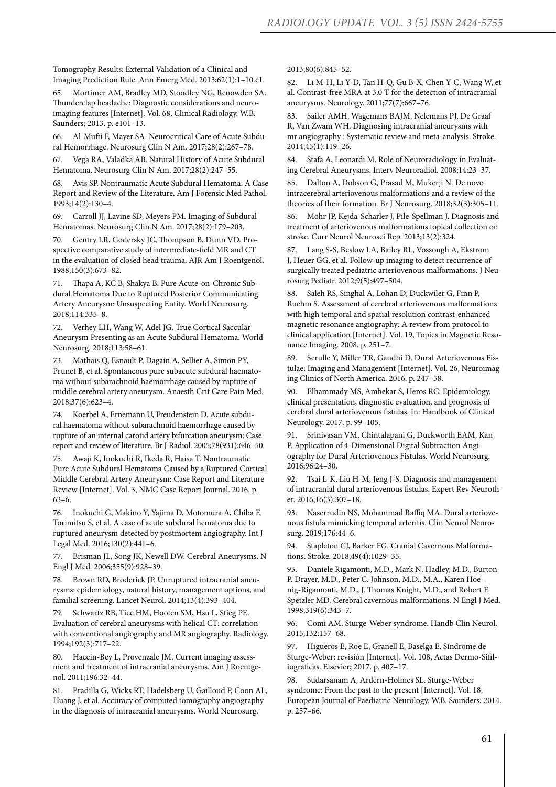Tomography Results: External Validation of a Clinical and Imaging Prediction Rule. Ann Emerg Med. 2013;62(1):1–10.e1.

65. Mortimer AM, Bradley MD, Stoodley NG, Renowden SA. Thunderclap headache: Diagnostic considerations and neuroimaging features [Internet]. Vol. 68, Clinical Radiology. W.B. Saunders; 2013. p. e101–13.

66. Al-Mufti F, Mayer SA. Neurocritical Care of Acute Subdural Hemorrhage. Neurosurg Clin N Am. 2017;28(2):267–78.

67. Vega RA, Valadka AB. Natural History of Acute Subdural Hematoma. Neurosurg Clin N Am. 2017;28(2):247–55.

68. Avis SP. Nontraumatic Acute Subdural Hematoma: A Case Report and Review of the Literature. Am J Forensic Med Pathol. 1993;14(2):130–4.

69. Carroll JJ, Lavine SD, Meyers PM. Imaging of Subdural Hematomas. Neurosurg Clin N Am. 2017;28(2):179–203.

70. Gentry LR, Godersky JC, Thompson B, Dunn VD. Prospective comparative study of intermediate-field MR and CT in the evaluation of closed head trauma. AJR Am J Roentgenol. 1988;150(3):673–82.

71. Thapa A, KC B, Shakya B. Pure Acute-on-Chronic Subdural Hematoma Due to Ruptured Posterior Communicating Artery Aneurysm: Unsuspecting Entity. World Neurosurg. 2018;114:335–8.

72. Verhey LH, Wang W, Adel JG. True Cortical Saccular Aneurysm Presenting as an Acute Subdural Hematoma. World Neurosurg. 2018;113:58–61.

73. Mathais Q, Esnault P, Dagain A, Sellier A, Simon PY, Prunet B, et al. Spontaneous pure subacute subdural haematoma without subarachnoid haemorrhage caused by rupture of middle cerebral artery aneurysm. Anaesth Crit Care Pain Med. 2018;37(6):623–4.

74. Koerbel A, Ernemann U, Freudenstein D. Acute subdural haematoma without subarachnoid haemorrhage caused by rupture of an internal carotid artery bifurcation aneurysm: Case report and review of literature. Br J Radiol. 2005;78(931):646–50.

75. Awaji K, Inokuchi R, Ikeda R, Haisa T. Nontraumatic Pure Acute Subdural Hematoma Caused by a Ruptured Cortical Middle Cerebral Artery Aneurysm: Case Report and Literature Review [Internet]. Vol. 3, NMC Case Report Journal. 2016. p. 63–6.

76. Inokuchi G, Makino Y, Yajima D, Motomura A, Chiba F, Torimitsu S, et al. A case of acute subdural hematoma due to ruptured aneurysm detected by postmortem angiography. Int J Legal Med. 2016;130(2):441–6.

77. Brisman JL, Song JK, Newell DW. Cerebral Aneurysms. N Engl J Med. 2006;355(9):928–39.

Brown RD, Broderick JP. Unruptured intracranial aneurysms: epidemiology, natural history, management options, and familial screening. Lancet Neurol. 2014;13(4):393–404.

Schwartz RB, Tice HM, Hooten SM, Hsu L, Stieg PE. Evaluation of cerebral aneurysms with helical CT: correlation with conventional angiography and MR angiography. Radiology. 1994;192(3):717–22.

80. Hacein-Bey L, Provenzale JM. Current imaging assessment and treatment of intracranial aneurysms. Am J Roentgenol. 2011;196:32–44.

81. Pradilla G, Wicks RT, Hadelsberg U, Gailloud P, Coon AL, Huang J, et al. Accuracy of computed tomography angiography in the diagnosis of intracranial aneurysms. World Neurosurg.

2013;80(6):845–52.

82. Li M-H, Li Y-D, Tan H-Q, Gu B-X, Chen Y-C, Wang W, et al. Contrast-free MRA at 3.0 T for the detection of intracranial aneurysms. Neurology. 2011;77(7):667–76.

83. Sailer AMH, Wagemans BAJM, Nelemans PJ, De Graaf R, Van Zwam WH. Diagnosing intracranial aneurysms with mr angiography : Systematic review and meta-analysis. Stroke. 2014;45(1):119–26.

84. Stafa A, Leonardi M. Role of Neuroradiology in Evaluating Cerebral Aneurysms. Interv Neuroradiol. 2008;14:23–37.

85. Dalton A, Dobson G, Prasad M, Mukerji N. De novo intracerebral arteriovenous malformations and a review of the theories of their formation. Br J Neurosurg. 2018;32(3):305–11.

86. Mohr JP, Kejda-Scharler J, Pile-Spellman J. Diagnosis and treatment of arteriovenous malformations topical collection on stroke. Curr Neurol Neurosci Rep. 2013;13(2):324.

87. Lang S-S, Beslow LA, Bailey RL, Vossough A, Ekstrom J, Heuer GG, et al. Follow-up imaging to detect recurrence of surgically treated pediatric arteriovenous malformations. J Neurosurg Pediatr. 2012;9(5):497–504.

88. Saleh RS, Singhal A, Lohan D, Duckwiler G, Finn P, Ruehm S. Assessment of cerebral arteriovenous malformations with high temporal and spatial resolution contrast-enhanced magnetic resonance angiography: A review from protocol to clinical application [Internet]. Vol. 19, Topics in Magnetic Resonance Imaging. 2008. p. 251–7.

89. Serulle Y, Miller TR, Gandhi D. Dural Arteriovenous Fistulae: Imaging and Management [Internet]. Vol. 26, Neuroimaging Clinics of North America. 2016. p. 247–58.

90. Elhammady MS, Ambekar S, Heros RC. Epidemiology, clinical presentation, diagnostic evaluation, and prognosis of cerebral dural arteriovenous fistulas. In: Handbook of Clinical Neurology. 2017. p. 99–105.

Srinivasan VM, Chintalapani G, Duckworth EAM, Kan P. Application of 4-Dimensional Digital Subtraction Angiography for Dural Arteriovenous Fistulas. World Neurosurg. 2016;96:24–30.

92. Tsai L-K, Liu H-M, Jeng J-S. Diagnosis and management of intracranial dural arteriovenous fistulas. Expert Rev Neurother. 2016;16(3):307–18.

93. Naserrudin NS, Mohammad Raffiq MA. Dural arteriovenous fistula mimicking temporal arteritis. Clin Neurol Neurosurg. 2019;176:44–6.

94. Stapleton CJ, Barker FG. Cranial Cavernous Malformations. Stroke. 2018;49(4):1029–35.

95. Daniele Rigamonti, M.D., Mark N. Hadley, M.D., Burton P. Drayer, M.D., Peter C. Johnson, M.D., M.A., Karen Hoenig-Rigamonti, M.D., J. Thomas Knight, M.D., and Robert F. Spetzler MD. Cerebral cavernous malformations. N Engl J Med. 1998;319(6):343–7.

96. Comi AM. Sturge-Weber syndrome. Handb Clin Neurol. 2015;132:157–68.

97. Higueros E, Roe E, Granell E, Baselga E. Síndrome de Sturge-Weber: revisión [Internet]. Vol. 108, Actas Dermo-Sifiliograficas. Elsevier; 2017. p. 407–17.

98. Sudarsanam A, Ardern-Holmes SL. Sturge-Weber syndrome: From the past to the present [Internet]. Vol. 18, European Journal of Paediatric Neurology. W.B. Saunders; 2014. p. 257–66.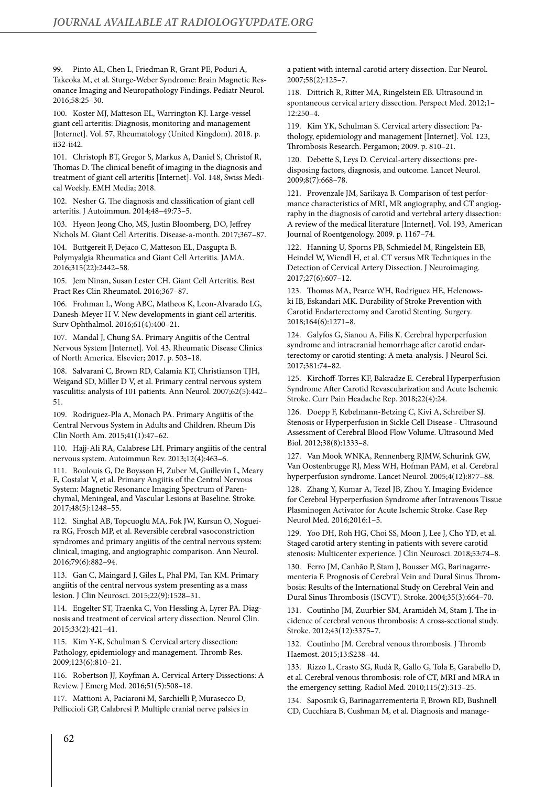99. Pinto AL, Chen L, Friedman R, Grant PE, Poduri A, Takeoka M, et al. Sturge-Weber Syndrome: Brain Magnetic Resonance Imaging and Neuropathology Findings. Pediatr Neurol. 2016;58:25–30.

100. Koster MJ, Matteson EL, Warrington KJ. Large-vessel giant cell arteritis: Diagnosis, monitoring and management [Internet]. Vol. 57, Rheumatology (United Kingdom). 2018. p. ii32-ii42.

101. Christoph BT, Gregor S, Markus A, Daniel S, Christof R, Thomas D. The clinical benefit of imaging in the diagnosis and treatment of giant cell arteritis [Internet]. Vol. 148, Swiss Medical Weekly. EMH Media; 2018.

102. Nesher G. The diagnosis and classification of giant cell arteritis. J Autoimmun. 2014;48–49:73–5.

103. Hyeon Jeong Cho, MS, Justin Bloomberg, DO, Jeffrey Nichols M. Giant Cell Arteritis. Disease-a-month. 2017;367–87.

104. Buttgereit F, Dejaco C, Matteson EL, Dasgupta B. Polymyalgia Rheumatica and Giant Cell Arteritis. JAMA. 2016;315(22):2442–58.

105. Jem Ninan, Susan Lester CH. Giant Cell Arteritis. Best Pract Res Clin Rheumatol. 2016;367–87.

106. Frohman L, Wong ABC, Matheos K, Leon-Alvarado LG, Danesh-Meyer H V. New developments in giant cell arteritis. Surv Ophthalmol. 2016;61(4):400–21.

107. Mandal J, Chung SA. Primary Angiitis of the Central Nervous System [Internet]. Vol. 43, Rheumatic Disease Clinics of North America. Elsevier; 2017. p. 503–18.

108. Salvarani C, Brown RD, Calamia KT, Christianson TJH, Weigand SD, Miller D V, et al. Primary central nervous system vasculitis: analysis of 101 patients. Ann Neurol. 2007;62(5):442– 51.

109. Rodriguez-Pla A, Monach PA. Primary Angiitis of the Central Nervous System in Adults and Children. Rheum Dis Clin North Am. 2015;41(1):47–62.

110. Hajj-Ali RA, Calabrese LH. Primary angiitis of the central nervous system. Autoimmun Rev. 2013;12(4):463–6.

111. Boulouis G, De Boysson H, Zuber M, Guillevin L, Meary E, Costalat V, et al. Primary Angiitis of the Central Nervous System: Magnetic Resonance Imaging Spectrum of Parenchymal, Meningeal, and Vascular Lesions at Baseline. Stroke. 2017;48(5):1248–55.

112. Singhal AB, Topcuoglu MA, Fok JW, Kursun O, Nogueira RG, Frosch MP, et al. Reversible cerebral vasoconstriction syndromes and primary angiitis of the central nervous system: clinical, imaging, and angiographic comparison. Ann Neurol. 2016;79(6):882–94.

113. Gan C, Maingard J, Giles L, Phal PM, Tan KM. Primary angiitis of the central nervous system presenting as a mass lesion. J Clin Neurosci. 2015;22(9):1528–31.

114. Engelter ST, Traenka C, Von Hessling A, Lyrer PA. Diagnosis and treatment of cervical artery dissection. Neurol Clin. 2015;33(2):421–41.

115. Kim Y-K, Schulman S. Cervical artery dissection: Pathology, epidemiology and management. Thromb Res. 2009;123(6):810–21.

116. Robertson JJ, Koyfman A. Cervical Artery Dissections: A Review. J Emerg Med. 2016;51(5):508–18.

117. Mattioni A, Paciaroni M, Sarchielli P, Murasecco D, Pelliccioli GP, Calabresi P. Multiple cranial nerve palsies in a patient with internal carotid artery dissection. Eur Neurol. 2007;58(2):125–7.

118. Dittrich R, Ritter MA, Ringelstein EB. Ultrasound in spontaneous cervical artery dissection. Perspect Med. 2012;1– 12:250–4.

119. Kim YK, Schulman S. Cervical artery dissection: Pathology, epidemiology and management [Internet]. Vol. 123, Thrombosis Research. Pergamon; 2009. p. 810–21.

120. Debette S, Leys D. Cervical-artery dissections: predisposing factors, diagnosis, and outcome. Lancet Neurol. 2009;8(7):668–78.

121. Provenzale JM, Sarikaya B. Comparison of test performance characteristics of MRI, MR angiography, and CT angiography in the diagnosis of carotid and vertebral artery dissection: A review of the medical literature [Internet]. Vol. 193, American Journal of Roentgenology. 2009. p. 1167–74.

122. Hanning U, Sporns PB, Schmiedel M, Ringelstein EB, Heindel W, Wiendl H, et al. CT versus MR Techniques in the Detection of Cervical Artery Dissection. J Neuroimaging. 2017;27(6):607–12.

123. Thomas MA, Pearce WH, Rodriguez HE, Helenowski IB, Eskandari MK. Durability of Stroke Prevention with Carotid Endarterectomy and Carotid Stenting. Surgery. 2018;164(6):1271–8.

124. Galyfos G, Sianou A, Filis K. Cerebral hyperperfusion syndrome and intracranial hemorrhage after carotid endarterectomy or carotid stenting: A meta-analysis. J Neurol Sci. 2017;381:74–82.

125. Kirchoff-Torres KF, Bakradze E. Cerebral Hyperperfusion Syndrome After Carotid Revascularization and Acute Ischemic Stroke. Curr Pain Headache Rep. 2018;22(4):24.

126. Doepp F, Kebelmann-Betzing C, Kivi A, Schreiber SJ. Stenosis or Hyperperfusion in Sickle Cell Disease - Ultrasound Assessment of Cerebral Blood Flow Volume. Ultrasound Med Biol. 2012;38(8):1333–8.

127. Van Mook WNKA, Rennenberg RJMW, Schurink GW, Van Oostenbrugge RJ, Mess WH, Hofman PAM, et al. Cerebral hyperperfusion syndrome. Lancet Neurol. 2005;4(12):877–88.

128. Zhang Y, Kumar A, Tezel JB, Zhou Y. Imaging Evidence for Cerebral Hyperperfusion Syndrome after Intravenous Tissue Plasminogen Activator for Acute Ischemic Stroke. Case Rep Neurol Med. 2016;2016:1–5.

129. Yoo DH, Roh HG, Choi SS, Moon J, Lee J, Cho YD, et al. Staged carotid artery stenting in patients with severe carotid stenosis: Multicenter experience. J Clin Neurosci. 2018;53:74–8.

130. Ferro JM, Canhão P, Stam J, Bousser MG, Barinagarrementeria F. Prognosis of Cerebral Vein and Dural Sinus Thrombosis: Results of the International Study on Cerebral Vein and Dural Sinus Thrombosis (ISCVT). Stroke. 2004;35(3):664–70.

131. Coutinho JM, Zuurbier SM, Aramideh M, Stam J. The incidence of cerebral venous thrombosis: A cross-sectional study. Stroke. 2012;43(12):3375–7.

132. Coutinho JM. Cerebral venous thrombosis. J Thromb Haemost. 2015;13:S238–44.

133. Rizzo L, Crasto SG, Rudà R, Gallo G, Tola E, Garabello D, et al. Cerebral venous thrombosis: role of CT, MRI and MRA in the emergency setting. Radiol Med. 2010;115(2):313–25.

134. Saposnik G, Barinagarrementeria F, Brown RD, Bushnell CD, Cucchiara B, Cushman M, et al. Diagnosis and manage-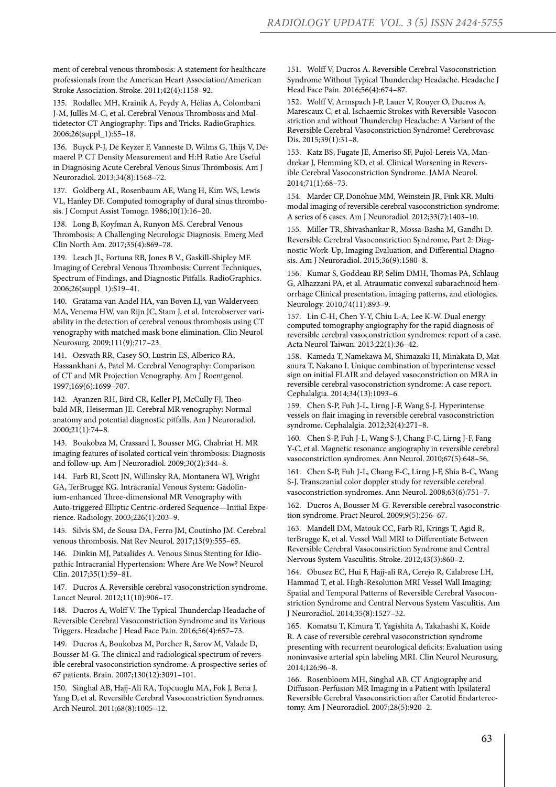ment of cerebral venous thrombosis: A statement for healthcare professionals from the American Heart Association/American Stroke Association. Stroke. 2011;42(4):1158–92.

135. Rodallec MH, Krainik A, Feydy A, Hélias A, Colombani J-M, Jullès M-C, et al. Cerebral Venous Thrombosis and Multidetector CT Angiography: Tips and Tricks. RadioGraphics. 2006;26(suppl\_1):S5–18.

136. Buyck P-J, De Keyzer F, Vanneste D, Wilms G, Thijs V, Demaerel P. CT Density Measurement and H:H Ratio Are Useful in Diagnosing Acute Cerebral Venous Sinus Thrombosis. Am J Neuroradiol. 2013;34(8):1568–72.

137. Goldberg AL, Rosenbaum AE, Wang H, Kim WS, Lewis VL, Hanley DF. Computed tomography of dural sinus thrombosis. J Comput Assist Tomogr. 1986;10(1):16–20.

138. Long B, Koyfman A, Runyon MS. Cerebral Venous Thrombosis: A Challenging Neurologic Diagnosis. Emerg Med Clin North Am. 2017;35(4):869–78.

139. Leach JL, Fortuna RB, Jones B V., Gaskill-Shipley MF. Imaging of Cerebral Venous Thrombosis: Current Techniques, Spectrum of Findings, and Diagnostic Pitfalls. RadioGraphics. 2006;26(suppl\_1):S19–41.

140. Gratama van Andel HA, van Boven LJ, van Walderveen MA, Venema HW, van Rijn JC, Stam J, et al. Interobserver variability in the detection of cerebral venous thrombosis using CT venography with matched mask bone elimination. Clin Neurol Neurosurg. 2009;111(9):717–23.

141. Ozsvath RR, Casey SO, Lustrin ES, Alberico RA, Hassankhani A, Patel M. Cerebral Venography: Comparison of CT and MR Projection Venography. Am J Roentgenol. 1997;169(6):1699–707.

142. Ayanzen RH, Bird CR, Keller PJ, McCully FJ, Theobald MR, Heiserman JE. Cerebral MR venography: Normal anatomy and potential diagnostic pitfalls. Am J Neuroradiol. 2000;21(1):74–8.

143. Boukobza M, Crassard I, Bousser MG, Chabriat H. MR imaging features of isolated cortical vein thrombosis: Diagnosis and follow-up. Am J Neuroradiol. 2009;30(2):344–8.

144. Farb RI, Scott JN, Willinsky RA, Montanera WJ, Wright GA, TerBrugge KG. Intracranial Venous System: Gadolinium-enhanced Three-dimensional MR Venography with Auto-triggered Elliptic Centric-ordered Sequence—Initial Experience. Radiology. 2003;226(1):203–9.

145. Silvis SM, de Sousa DA, Ferro JM, Coutinho JM. Cerebral venous thrombosis. Nat Rev Neurol. 2017;13(9):555–65.

146. Dinkin MJ, Patsalides A. Venous Sinus Stenting for Idiopathic Intracranial Hypertension: Where Are We Now? Neurol Clin. 2017;35(1):59–81.

147. Ducros A. Reversible cerebral vasoconstriction syndrome. Lancet Neurol. 2012;11(10):906–17.

148. Ducros A, Wolff V. The Typical Thunderclap Headache of Reversible Cerebral Vasoconstriction Syndrome and its Various Triggers. Headache J Head Face Pain. 2016;56(4):657–73.

149. Ducros A, Boukobza M, Porcher R, Sarov M, Valade D, Bousser M-G. The clinical and radiological spectrum of reversible cerebral vasoconstriction syndrome. A prospective series of 67 patients. Brain. 2007;130(12):3091–101.

150. Singhal AB, Hajj-Ali RA, Topcuoglu MA, Fok J, Bena J, Yang D, et al. Reversible Cerebral Vasoconstriction Syndromes. Arch Neurol. 2011;68(8):1005–12.

151. Wolff V, Ducros A. Reversible Cerebral Vasoconstriction Syndrome Without Typical Thunderclap Headache. Headache J Head Face Pain. 2016;56(4):674–87.

152. Wolff V, Armspach J-P, Lauer V, Rouyer O, Ducros A, Marescaux C, et al. Ischaemic Strokes with Reversible Vasoconstriction and without Thunderclap Headache: A Variant of the Reversible Cerebral Vasoconstriction Syndrome? Cerebrovasc Dis. 2015;39(1):31–8.

153. Katz BS, Fugate JE, Ameriso SF, Pujol-Lereis VA, Mandrekar J, Flemming KD, et al. Clinical Worsening in Reversible Cerebral Vasoconstriction Syndrome. JAMA Neurol. 2014;71(1):68–73.

154. Marder CP, Donohue MM, Weinstein JR, Fink KR. Multimodal imaging of reversible cerebral vasoconstriction syndrome: A series of 6 cases. Am J Neuroradiol. 2012;33(7):1403–10.

155. Miller TR, Shivashankar R, Mossa-Basha M, Gandhi D. Reversible Cerebral Vasoconstriction Syndrome, Part 2: Diagnostic Work-Up, Imaging Evaluation, and Differential Diagnosis. Am J Neuroradiol. 2015;36(9):1580–8.

156. Kumar S, Goddeau RP, Selim DMH, Thomas PA, Schlaug G, Alhazzani PA, et al. Atraumatic convexal subarachnoid hemorrhage Clinical presentation, imaging patterns, and etiologies. Neurology. 2010;74(11):893–9.

157. Lin C-H, Chen Y-Y, Chiu L-A, Lee K-W. Dual energy computed tomography angiography for the rapid diagnosis of reversible cerebral vasoconstriction syndromes: report of a case. Acta Neurol Taiwan. 2013;22(1):36–42.

158. Kameda T, Namekawa M, Shimazaki H, Minakata D, Matsuura T, Nakano I. Unique combination of hyperintense vessel sign on initial FLAIR and delayed vasoconstriction on MRA in reversible cerebral vasoconstriction syndrome: A case report. Cephalalgia. 2014;34(13):1093–6.

159. Chen S-P, Fuh J-L, Lirng J-F, Wang S-J. Hyperintense vessels on flair imaging in reversible cerebral vasoconstriction syndrome. Cephalalgia. 2012;32(4):271–8.

160. Chen S-P, Fuh J-L, Wang S-J, Chang F-C, Lirng J-F, Fang Y-C, et al. Magnetic resonance angiography in reversible cerebral vasoconstriction syndromes. Ann Neurol. 2010;67(5):648–56.

161. Chen S-P, Fuh J-L, Chang F-C, Lirng J-F, Shia B-C, Wang S-J. Transcranial color doppler study for reversible cerebral vasoconstriction syndromes. Ann Neurol. 2008;63(6):751–7.

162. Ducros A, Bousser M-G. Reversible cerebral vasoconstriction syndrome. Pract Neurol. 2009;9(5):256–67.

163. Mandell DM, Matouk CC, Farb RI, Krings T, Agid R, terBrugge K, et al. Vessel Wall MRI to Differentiate Between Reversible Cerebral Vasoconstriction Syndrome and Central Nervous System Vasculitis. Stroke. 2012;43(3):860–2.

164. Obusez EC, Hui F, Hajj-ali RA, Cerejo R, Calabrese LH, Hammad T, et al. High-Resolution MRI Vessel Wall Imaging: Spatial and Temporal Patterns of Reversible Cerebral Vasoconstriction Syndrome and Central Nervous System Vasculitis. Am J Neuroradiol. 2014;35(8):1527–32.

165. Komatsu T, Kimura T, Yagishita A, Takahashi K, Koide R. A case of reversible cerebral vasoconstriction syndrome presenting with recurrent neurological deficits: Evaluation using noninvasive arterial spin labeling MRI. Clin Neurol Neurosurg. 2014;126:96–8.

166. Rosenbloom MH, Singhal AB. CT Angiography and Diffusion-Perfusion MR Imaging in a Patient with Ipsilateral Reversible Cerebral Vasoconstriction after Carotid Endarterectomy. Am J Neuroradiol. 2007;28(5):920–2.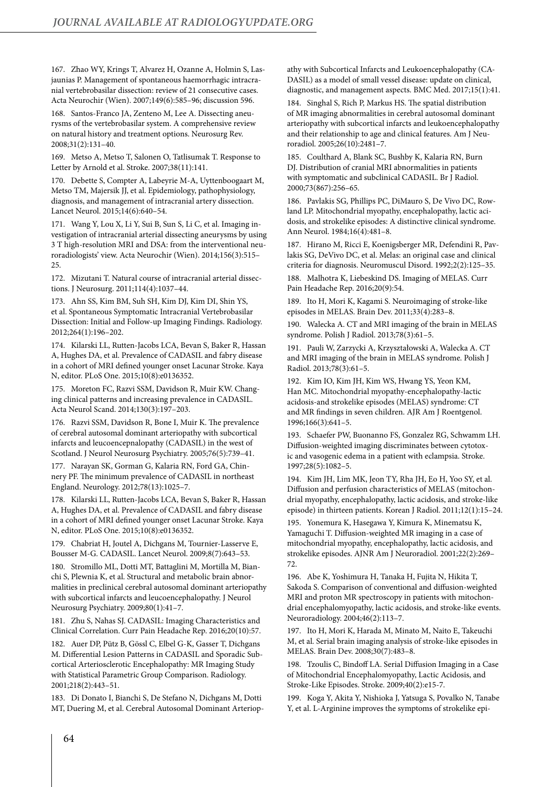167. Zhao WY, Krings T, Alvarez H, Ozanne A, Holmin S, Lasjaunias P. Management of spontaneous haemorrhagic intracranial vertebrobasilar dissection: review of 21 consecutive cases. Acta Neurochir (Wien). 2007;149(6):585–96; discussion 596.

168. Santos-Franco JA, Zenteno M, Lee A. Dissecting aneurysms of the vertebrobasilar system. A comprehensive review on natural history and treatment options. Neurosurg Rev. 2008;31(2):131–40.

169. Metso A, Metso T, Salonen O, Tatlisumak T. Response to Letter by Arnold et al. Stroke. 2007;38(11):141.

170. Debette S, Compter A, Labeyrie M-A, Uyttenboogaart M, Metso TM, Majersik JJ, et al. Epidemiology, pathophysiology, diagnosis, and management of intracranial artery dissection. Lancet Neurol. 2015;14(6):640–54.

171. Wang Y, Lou X, Li Y, Sui B, Sun S, Li C, et al. Imaging investigation of intracranial arterial dissecting aneurysms by using 3 T high-resolution MRI and DSA: from the interventional neuroradiologists' view. Acta Neurochir (Wien). 2014;156(3):515–  $25$ 

172. Mizutani T. Natural course of intracranial arterial dissections. J Neurosurg. 2011;114(4):1037–44.

173. Ahn SS, Kim BM, Suh SH, Kim DJ, Kim DI, Shin YS, et al. Spontaneous Symptomatic Intracranial Vertebrobasilar Dissection: Initial and Follow-up Imaging Findings. Radiology. 2012;264(1):196–202.

174. Kilarski LL, Rutten-Jacobs LCA, Bevan S, Baker R, Hassan A, Hughes DA, et al. Prevalence of CADASIL and fabry disease in a cohort of MRI defined younger onset Lacunar Stroke. Kaya N, editor. PLoS One. 2015;10(8):e0136352.

175. Moreton FC, Razvi SSM, Davidson R, Muir KW. Changing clinical patterns and increasing prevalence in CADASIL. Acta Neurol Scand. 2014;130(3):197–203.

176. Razvi SSM, Davidson R, Bone I, Muir K. The prevalence of cerebral autosomal dominant arteriopathy with subcortical infarcts and leucoencepnalopathy (CADASIL) in the west of Scotland. J Neurol Neurosurg Psychiatry. 2005;76(5):739-41.

177. Narayan SK, Gorman G, Kalaria RN, Ford GA, Chinnery PF. The minimum prevalence of CADASIL in northeast England. Neurology. 2012;78(13):1025–7.

178. Kilarski LL, Rutten-Jacobs LCA, Bevan S, Baker R, Hassan A, Hughes DA, et al. Prevalence of CADASIL and fabry disease in a cohort of MRI defined younger onset Lacunar Stroke. Kaya N, editor. PLoS One. 2015;10(8):e0136352.

179. Chabriat H, Joutel A, Dichgans M, Tournier-Lasserve E, Bousser M-G. CADASIL. Lancet Neurol. 2009;8(7):643–53.

180. Stromillo ML, Dotti MT, Battaglini M, Mortilla M, Bianchi S, Plewnia K, et al. Structural and metabolic brain abnormalities in preclinical cerebral autosomal dominant arteriopathy with subcortical infarcts and leucoencephalopathy. J Neurol Neurosurg Psychiatry. 2009;80(1):41–7.

181. Zhu S, Nahas SJ. CADASIL: Imaging Characteristics and Clinical Correlation. Curr Pain Headache Rep. 2016;20(10):57.

182. Auer DP, Pütz B, Gössl C, Elbel G-K, Gasser T, Dichgans M. Differential Lesion Patterns in CADASIL and Sporadic Subcortical Arteriosclerotic Encephalopathy: MR Imaging Study with Statistical Parametric Group Comparison. Radiology. 2001;218(2):443–51.

183. Di Donato I, Bianchi S, De Stefano N, Dichgans M, Dotti MT, Duering M, et al. Cerebral Autosomal Dominant Arteriopathy with Subcortical Infarcts and Leukoencephalopathy (CA-DASIL) as a model of small vessel disease: update on clinical, diagnostic, and management aspects. BMC Med. 2017;15(1):41.

184. Singhal S, Rich P, Markus HS. The spatial distribution of MR imaging abnormalities in cerebral autosomal dominant arteriopathy with subcortical infarcts and leukoencephalopathy and their relationship to age and clinical features. Am J Neuroradiol. 2005;26(10):2481–7.

185. Coulthard A, Blank SC, Bushby K, Kalaria RN, Burn DJ. Distribution of cranial MRI abnormalities in patients with symptomatic and subclinical CADASIL. Br J Radiol. 2000;73(867):256–65.

186. Pavlakis SG, Phillips PC, DiMauro S, De Vivo DC, Rowland LP. Mitochondrial myopathy, encephalopathy, lactic acidosis, and strokelike episodes: A distinctive clinical syndrome. Ann Neurol. 1984;16(4):481–8.

187. Hirano M, Ricci E, Koenigsberger MR, Defendini R, Pavlakis SG, DeVivo DC, et al. Melas: an original case and clinical criteria for diagnosis. Neuromuscul Disord. 1992;2(2):125–35.

188. Malhotra K, Liebeskind DS. Imaging of MELAS. Curr Pain Headache Rep. 2016;20(9):54.

189. Ito H, Mori K, Kagami S. Neuroimaging of stroke-like episodes in MELAS. Brain Dev. 2011;33(4):283–8.

190. Walecka A. CT and MRI imaging of the brain in MELAS syndrome. Polish J Radiol. 2013;78(3):61–5.

191. Pauli W, Zarzycki A, Krzyształowski A, Walecka A. CT and MRI imaging of the brain in MELAS syndrome. Polish J Radiol. 2013;78(3):61–5.

192. Kim IO, Kim JH, Kim WS, Hwang YS, Yeon KM, Han MC. Mitochondrial myopathy-encephalopathy-lactic acidosis-and strokelike episodes (MELAS) syndrome: CT and MR findings in seven children. AJR Am J Roentgenol. 1996;166(3):641–5.

193. Schaefer PW, Buonanno FS, Gonzalez RG, Schwamm LH. Diffusion-weighted imaging discriminates between cytotoxic and vasogenic edema in a patient with eclampsia. Stroke. 1997;28(5):1082–5.

194. Kim JH, Lim MK, Jeon TY, Rha JH, Eo H, Yoo SY, et al. Diffusion and perfusion characteristics of MELAS (mitochondrial myopathy, encephalopathy, lactic acidosis, and stroke-like episode) in thirteen patients. Korean J Radiol. 2011;12(1):15–24.

195. Yonemura K, Hasegawa Y, Kimura K, Minematsu K, Yamaguchi T. Diffusion-weighted MR imaging in a case of mitochondrial myopathy, encephalopathy, lactic acidosis, and strokelike episodes. AJNR Am J Neuroradiol. 2001;22(2):269– 72.

196. Abe K, Yoshimura H, Tanaka H, Fujita N, Hikita T, Sakoda S. Comparison of conventional and diffusion-weighted MRI and proton MR spectroscopy in patients with mitochondrial encephalomyopathy, lactic acidosis, and stroke-like events. Neuroradiology. 2004;46(2):113–7.

197. Ito H, Mori K, Harada M, Minato M, Naito E, Takeuchi M, et al. Serial brain imaging analysis of stroke-like episodes in MELAS. Brain Dev. 2008;30(7):483–8.

198. Tzoulis C, Bindoff LA. Serial Diffusion Imaging in a Case of Mitochondrial Encephalomyopathy, Lactic Acidosis, and Stroke-Like Episodes. Stroke. 2009;40(2):e15-7.

199. Koga Y, Akita Y, Nishioka J, Yatsuga S, Povalko N, Tanabe Y, et al. L-Arginine improves the symptoms of strokelike epi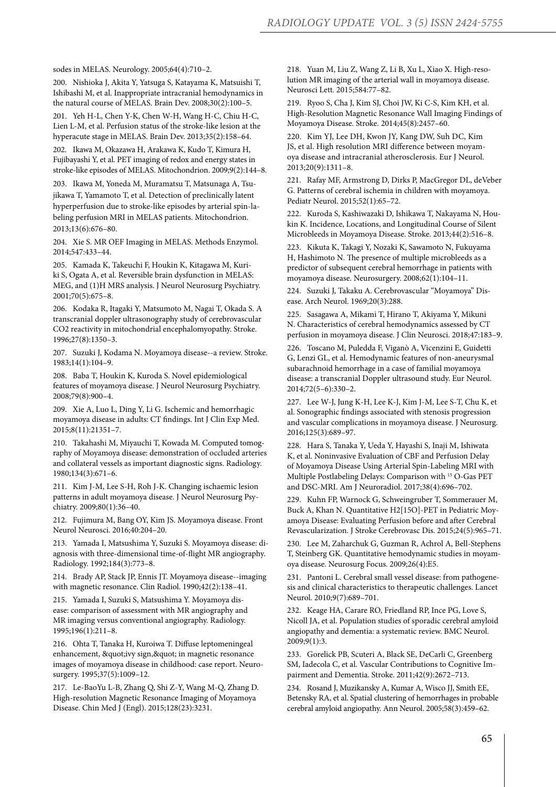sodes in MELAS. Neurology. 2005;64(4):710–2.

200. Nishioka J, Akita Y, Yatsuga S, Katayama K, Matsuishi T, Ishibashi M, et al. Inappropriate intracranial hemodynamics in the natural course of MELAS. Brain Dev. 2008;30(2):100–5.

201. Yeh H-L, Chen Y-K, Chen W-H, Wang H-C, Chiu H-C, Lien L-M, et al. Perfusion status of the stroke-like lesion at the hyperacute stage in MELAS. Brain Dev. 2013;35(2):158–64.

202. Ikawa M, Okazawa H, Arakawa K, Kudo T, Kimura H, Fujibayashi Y, et al. PET imaging of redox and energy states in stroke-like episodes of MELAS. Mitochondrion. 2009;9(2):144–8.

203. Ikawa M, Yoneda M, Muramatsu T, Matsunaga A, Tsujikawa T, Yamamoto T, et al. Detection of preclinically latent hyperperfusion due to stroke-like episodes by arterial spin-labeling perfusion MRI in MELAS patients. Mitochondrion. 2013;13(6):676–80.

204. Xie S. MR OEF Imaging in MELAS. Methods Enzymol. 2014;547:433–44.

205. Kamada K, Takeuchi F, Houkin K, Kitagawa M, Kuriki S, Ogata A, et al. Reversible brain dysfunction in MELAS: MEG, and (1)H MRS analysis. J Neurol Neurosurg Psychiatry. 2001;70(5):675–8.

206. Kodaka R, Itagaki Y, Matsumoto M, Nagai T, Okada S. A transcranial doppler ultrasonography study of cerebrovascular CO2 reactivity in mitochondrial encephalomyopathy. Stroke. 1996;27(8):1350–3.

207. Suzuki J, Kodama N. Moyamoya disease--a review. Stroke. 1983;14(1):104–9.

208. Baba T, Houkin K, Kuroda S. Novel epidemiological features of moyamoya disease. J Neurol Neurosurg Psychiatry. 2008;79(8):900–4.

209. Xie A, Luo L, Ding Y, Li G. Ischemic and hemorrhagic moyamoya disease in adults: CT findings. Int J Clin Exp Med. 2015;8(11):21351–7.

210. Takahashi M, Miyauchi T, Kowada M. Computed tomography of Moyamoya disease: demonstration of occluded arteries and collateral vessels as important diagnostic signs. Radiology. 1980;134(3):671–6.

211. Kim J-M, Lee S-H, Roh J-K. Changing ischaemic lesion patterns in adult moyamoya disease. J Neurol Neurosurg Psychiatry. 2009;80(1):36–40.

212. Fujimura M, Bang OY, Kim JS. Moyamoya disease. Front Neurol Neurosci. 2016;40:204–20.

213. Yamada I, Matsushima Y, Suzuki S. Moyamoya disease: diagnosis with three-dimensional time-of-flight MR angiography. Radiology. 1992;184(3):773–8.

214. Brady AP, Stack JP, Ennis JT. Moyamoya disease--imaging with magnetic resonance. Clin Radiol. 1990;42(2):138–41.

215. Yamada I, Suzuki S, Matsushima Y. Moyamoya disease: comparison of assessment with MR angiography and MR imaging versus conventional angiography. Radiology. 1995;196(1):211–8.

216. Ohta T, Tanaka H, Kuroiwa T. Diffuse leptomeningeal enhancement, "ivy sign, " in magnetic resonance images of moyamoya disease in childhood: case report. Neurosurgery. 1995;37(5):1009-12.

217. Le-BaoYu L-B, Zhang Q, Shi Z-Y, Wang M-Q, Zhang D. High-resolution Magnetic Resonance Imaging of Moyamoya Disease. Chin Med J (Engl). 2015;128(23):3231.

218. Yuan M, Liu Z, Wang Z, Li B, Xu L, Xiao X. High-resolution MR imaging of the arterial wall in moyamoya disease. Neurosci Lett. 2015;584:77–82.

219. Ryoo S, Cha J, Kim SJ, Choi JW, Ki C-S, Kim KH, et al. High-Resolution Magnetic Resonance Wall Imaging Findings of Moyamoya Disease. Stroke. 2014;45(8):2457–60.

220. Kim YJ, Lee DH, Kwon JY, Kang DW, Suh DC, Kim JS, et al. High resolution MRI difference between moyamoya disease and intracranial atherosclerosis. Eur J Neurol. 2013;20(9):1311–8.

221. Rafay MF, Armstrong D, Dirks P, MacGregor DL, deVeber G. Patterns of cerebral ischemia in children with moyamoya. Pediatr Neurol. 2015;52(1):65–72.

222. Kuroda S, Kashiwazaki D, Ishikawa T, Nakayama N, Houkin K. Incidence, Locations, and Longitudinal Course of Silent Microbleeds in Moyamoya Disease. Stroke. 2013;44(2):516–8.

223. Kikuta K, Takagi Y, Nozaki K, Sawamoto N, Fukuyama H, Hashimoto N. The presence of multiple microbleeds as a predictor of subsequent cerebral hemorrhage in patients with moyamoya disease. Neurosurgery. 2008;62(1):104–11.

224. Suzuki J, Takaku A. Cerebrovascular "Moyamoya" Disease. Arch Neurol. 1969;20(3):288.

225. Sasagawa A, Mikami T, Hirano T, Akiyama Y, Mikuni N. Characteristics of cerebral hemodynamics assessed by CT perfusion in moyamoya disease. J Clin Neurosci. 2018;47:183–9.

226. Toscano M, Puledda F, Viganò A, Vicenzini E, Guidetti G, Lenzi GL, et al. Hemodynamic features of non-aneurysmal subarachnoid hemorrhage in a case of familial moyamoya disease: a transcranial Doppler ultrasound study. Eur Neurol. 2014;72(5–6):330–2.

227. Lee W-J, Jung K-H, Lee K-J, Kim J-M, Lee S-T, Chu K, et al. Sonographic findings associated with stenosis progression and vascular complications in moyamoya disease. J Neurosurg. 2016;125(3):689–97.

228. Hara S, Tanaka Y, Ueda Y, Hayashi S, Inaji M, Ishiwata K, et al. Noninvasive Evaluation of CBF and Perfusion Delay of Moyamoya Disease Using Arterial Spin-Labeling MRI with Multiple Postlabeling Delays: Comparison with 15 O-Gas PET and DSC-MRI. Am J Neuroradiol. 2017;38(4):696–702.

229. Kuhn FP, Warnock G, Schweingruber T, Sommerauer M, Buck A, Khan N. Quantitative H2[15O]-PET in Pediatric Moyamoya Disease: Evaluating Perfusion before and after Cerebral Revascularization. J Stroke Cerebrovasc Dis. 2015;24(5):965–71.

230. Lee M, Zaharchuk G, Guzman R, Achrol A, Bell-Stephens T, Steinberg GK. Quantitative hemodynamic studies in moyamoya disease. Neurosurg Focus. 2009;26(4):E5.

231. Pantoni L. Cerebral small vessel disease: from pathogenesis and clinical characteristics to therapeutic challenges. Lancet Neurol. 2010;9(7):689–701.

232. Keage HA, Carare RO, Friedland RP, Ince PG, Love S, Nicoll JA, et al. Population studies of sporadic cerebral amyloid angiopathy and dementia: a systematic review. BMC Neurol. 2009;9(1):3.

233. Gorelick PB, Scuteri A, Black SE, DeCarli C, Greenberg SM, Iadecola C, et al. Vascular Contributions to Cognitive Impairment and Dementia. Stroke. 2011;42(9):2672–713.

234. Rosand J, Muzikansky A, Kumar A, Wisco JJ, Smith EE, Betensky RA, et al. Spatial clustering of hemorrhages in probable cerebral amyloid angiopathy. Ann Neurol. 2005;58(3):459–62.